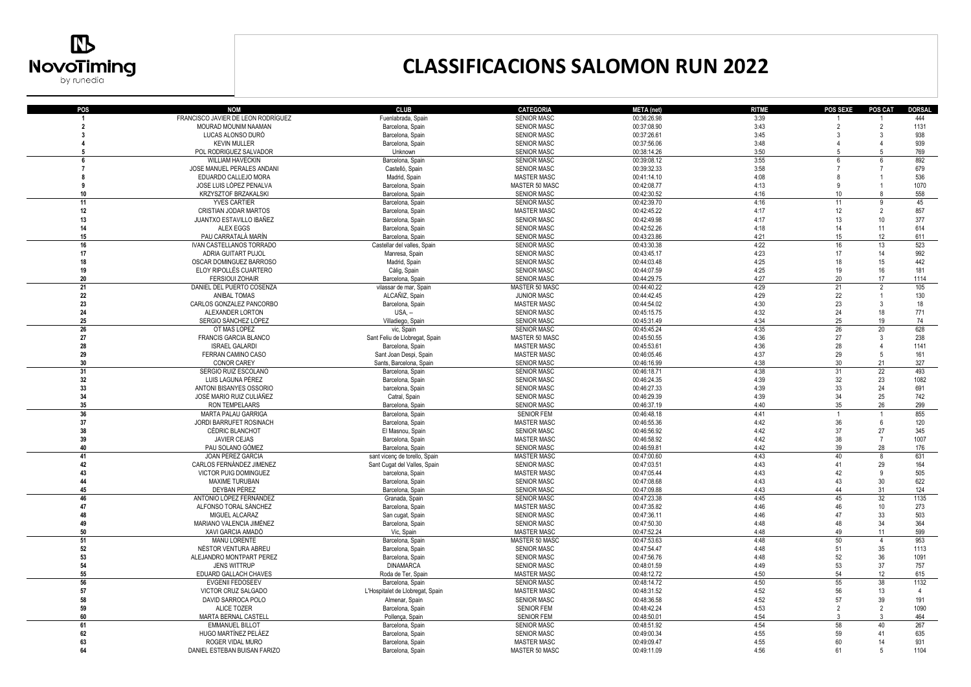

## **CLASSIFICACIONS SALOMON RUN 2022**

| POS            | <b>NOM</b>                                            | <b>CLUB</b>                                     | <b>CATEGORIA</b>                         |                            |                      | <b>POS SEXE</b> | POS CAT        | <b>DORSAL</b>  |
|----------------|-------------------------------------------------------|-------------------------------------------------|------------------------------------------|----------------------------|----------------------|-----------------|----------------|----------------|
|                | FRANCISCO JAVIER DE LEON RODRÍGUEZ                    | Fuenlabrada, Spain                              | <b>SENIOR MASC</b>                       | META (net)<br>00:36:26.98  | <b>RITME</b><br>3:39 |                 |                | 444            |
| $\overline{2}$ | MOURAD MOUNIM NAAMAN                                  | Barcelona, Spain                                | <b>SENIOR MASC</b>                       | 00:37:08.90                | 3:43                 | $\overline{2}$  | $\overline{2}$ | 1131           |
| -3             | LUCAS ALONSO DURÓ                                     | Barcelona, Spain                                | <b>SENIOR MASC</b>                       | 00:37:26.61                | 3:45                 | 3               | 3              | 938            |
|                | <b>KEVIN MULLER</b>                                   |                                                 | SENIOR MASC                              | 00:37:56.06                | 3:48                 | $\overline{4}$  |                | 939            |
| -5             | POL RODRIGUEZ SALVADOR                                | Barcelona, Spain<br>Unknown                     | <b>SENIOR MASC</b>                       | 00:38:14.26                | 3:50                 | -5              | $\overline{5}$ | 769            |
| 6              |                                                       |                                                 | <b>SENIOR MASC</b>                       | 00:39:08.12                | 3:55                 |                 |                | 892            |
| $\overline{7}$ | <b>WILLIAM HAVECKIN</b><br>JOSE MANUEL PERALES ANDANI | Barcelona, Spain<br>Castelló, Spain             | <b>SENIOR MASC</b>                       | 00:39:32.33                | 3:58                 | -6              |                | 679            |
| 8              | EDUARDO CALLEJO MORA                                  | Madrid, Spain                                   | <b>MASTER MASC</b>                       | 00:41:14.10                | 4:08                 |                 |                | 536            |
| 9              | JOSE LUIS LÓPEZ PENALVA                               | Barcelona, Spain                                | MASTER 50 MASC                           | 00:42:08.77                | 4:13                 | ٥               |                | 1070           |
| 10             | KRZYSZTOF BRZAKALSKI                                  | Barcelona, Spain                                | <b>SENIOR MASC</b>                       | 00:42:30.52                | 4:16                 | $10$            |                | 558            |
| 11             | <b>YVES CARTIER</b>                                   |                                                 | <b>SENIOR MASC</b>                       | 00:42:39.70                | 4:16                 | 11              | $\sf q$        | 45             |
| 12             | CRISTIAN JODAR MARTOS                                 | Barcelona, Spain                                | <b>MASTER MASC</b>                       | 00:42:45.22                | 4:17                 | 12              | $\overline{2}$ | 857            |
| 13             | JUANTXO ESTAVILLO IBAÑEZ                              | Barcelona, Spain                                | SENIOR MASC                              | 00:42:49.98                | 4:17                 | 13              | 10             | 377            |
| 14             | <b>ALEX EGGS</b>                                      | Barcelona, Spain<br>Barcelona, Spain            | <b>SENIOR MASC</b>                       | 00:42:52.26                | 4:18                 | 14              | 11             | 614            |
|                |                                                       |                                                 |                                          |                            |                      |                 |                |                |
| 15<br>16       | PAU CARRATALÀ MARÍN<br>IVAN CASTELLANOS TORRADO       | Barcelona, Spain<br>Castellar del valles, Spain | <b>SENIOR MASC</b><br><b>SENIOR MASC</b> | 00:43:23.86<br>00:43:30.38 | 4:21<br>4:22         | 15<br>16        | 12<br>13       | 611<br>523     |
| 17             |                                                       |                                                 | <b>SENIOR MASC</b>                       |                            | 4:23                 | 17              | 14             | 992            |
|                | ADRIA GUITART PUJOL<br>OSCAR DOMINGUEZ BARROSO        | Manresa, Spain                                  | <b>SENIOR MASC</b>                       | 00:43:45.17<br>00:44:03.48 | 4:25                 | 18              | 15             | 442            |
| 18<br>19       |                                                       | Madrid, Spain                                   |                                          |                            | 4:25                 | 19              | 16             | 181            |
|                | ELOY RIPOLLÉS CUARTERO                                | Càlig, Spain                                    | SENIOR MASC                              | 00:44:07.59                | 4:27                 |                 | 17             | 1114           |
| 20             | <b>FERSIOUI ZOHAIR</b>                                | Barcelona, Spain                                | <b>SENIOR MASC</b>                       | 00:44:29.75                |                      | 20              |                |                |
| 21             | DANIEL DEL PUERTO COSENZA                             | vilassar de mar, Spain                          | MASTER 50 MASC                           | 00:44:40.22                | 4:29                 | 21              | $\overline{2}$ | 105            |
| 22             | ANIBAL TOMAS                                          | ALCAÑIZ, Spain                                  | <b>JUNIOR MASC</b>                       | 00:44:42.45                | 4:29                 | 22              |                | 130            |
| 23             | CARLOS GONZALEZ PANCORBO                              | Barcelona, Spain                                | <b>MASTER MASC</b>                       | 00:44:54.02                | 4:30                 | 23              | 3              | 18             |
| 24             | ALEXANDER LORTON                                      | $USA. -$                                        | <b>SENIOR MASC</b>                       | 00:45:15.75                | 4:32                 | 24              | 18             | 771            |
| 25             | SERGIO SÁNCHEZ LÓPEZ                                  | Villadiego, Spain                               | <b>SENIOR MASC</b>                       | 00:45:31.49                | 4:34                 | 25              | 19             | 74             |
| 26             | OT MAS LOPEZ                                          | vic, Spain                                      | <b>SENIOR MASC</b>                       | 00:45:45.24                | 4:35                 | 26              | 20             | 628            |
| 27             | FRANCIS GARCIA BLANCO                                 | Sant Feliu de Llobregat, Spain                  | MASTER 50 MASC                           | 00:45:50.55                | 4:36                 | 27              | 3              | 238            |
| 28             | <b>ISRAEL GALARDI</b>                                 | Barcelona, Spain                                | <b>MASTER MASC</b>                       | 00:45:53.61                | 4:36                 | 28              | $\overline{4}$ | 1141           |
| 29             | FERRAN CAMINO CASO                                    | Sant Joan Despi, Spain                          | <b>MASTER MASC</b>                       | 00:46:05.46                | 4:37                 | 29              | 5              | 161            |
| 30             | CONOR CAREY                                           | Sants, Barcelona, Spain                         | <b>SENIOR MASC</b>                       | 00:46:16.99                | 4:38                 | 30              | 21             | 327            |
| 31             | SERGIO RUIZ ESCOLANO                                  | Barcelona, Spain                                | <b>SENIOR MASC</b>                       | 00:46:18.71                | 4:38                 | 31              | 22             | 493            |
| 32             | LUIS LAGUNA PÉREZ                                     | Barcelona, Spain                                | <b>SENIOR MASC</b>                       | 00:46:24.35                | 4:39                 | 32              | 23             | 1082           |
| 33             | ANTONI BISANYES OSSORIO                               | barcelona, Spain                                | SENIOR MASC                              | 00:46:27.33                | 4:39                 | 33              | 24             | 691            |
| 34             | JOSÉ MARIO RUIZ CULIÁÑEZ                              | Catral, Spain                                   | <b>SENIOR MASC</b>                       | 00:46:29.39                | 4:39                 | 34              | 25             | 742            |
| 35             | RON TEMPELAARS                                        | Barcelona, Spain                                | <b>SENIOR MASC</b>                       | 00:46:37.19                | 4:40                 | 35              | 26             | 299            |
| 36             | <b>MARTA PALAU GARRIGA</b>                            | Barcelona, Spain                                | <b>SENIOR FEM</b>                        | 00:46:48.18                | 4:41                 | $\overline{1}$  |                | 855            |
| 37             | JORDI BARRUFET ROSINACH                               | Barcelona, Spain                                | <b>MASTER MASC</b>                       | 00:46:55.36                | 4:42                 | 36              | 6              | 120            |
| 38             | <b>CÉDRIC BLANCHOT</b>                                | El Masnou, Spain                                | <b>SENIOR MASC</b>                       | 00:46:56.92                | 4:42                 | 37              | 27             | 345            |
| 39             | <b>JAVIER CEJAS</b>                                   | Barcelona, Spain                                | <b>MASTER MASC</b>                       | 00:46:58.92                | 4:42                 | 38              | $\overline{7}$ | 1007           |
| 40             | PAU SOLANO GÓMEZ                                      | Barcelona, Spain                                | <b>SENIOR MASC</b>                       | 00:46:59.81                | 4:42                 | 39              | 28             | 176            |
| 41             | JOAN PEREZ GARCIA                                     | sant vicenç de torello, Spain                   | <b>MASTER MASC</b>                       | 00:47:00.60                | 4:43                 | 40              | 8              | 631            |
| 42             | CARLOS FERNÁNDEZ JIMENEZ                              | Sant Cugat del Valles, Spain                    | SENIOR MASC                              | 00:47:03.51                | 4:43                 | 41              | 29             | 164            |
| 43             | VICTOR PUIG DOMINGUEZ                                 | barcelona, Spain                                | <b>MASTER MASC</b>                       | 00:47:05.44                | 4:43                 | 42              | 9              | 505            |
| 44             | MAXIME TURUBAN                                        | Barcelona, Spain                                | SENIOR MASC                              | 00:47:08.68                | 4:43                 | 43              | $30\,$         | 622            |
| 45             | DEYBAN PÉREZ                                          | Barcelona, Spain                                | <b>SENIOR MASC</b>                       | 00:47:09.88                | 4:43                 | 44              | 31             | 124            |
| 46             | ANTONIO LÓPEZ FERNÁNDEZ                               | Granada, Spain                                  | <b>SENIOR MASC</b>                       | 00:47:23.38                | 4:45                 | 45              | 32             | 1135           |
| 47             | ALFONSO TORAL SÁNCHEZ                                 | Barcelona, Spain                                | <b>MASTER MASC</b>                       | 00:47:35.82                | 4:46                 | 46              | 10             | 273            |
| 48             | MIGUEL ALCARAZ                                        | San cugat, Spain                                | SENIOR MASC                              | 00:47:36.11                | 4:46                 | 47              | 33             | 503            |
| 49             | MARIANO VALENCIA JIMÉNEZ                              | Barcelona, Spain                                | <b>SENIOR MASC</b>                       | 00:47:50.30                | 4:48                 | 48              | 34             | 364            |
| 50             | XAVI GARCIA AMADÓ                                     | Vic, Spain                                      | <b>MASTER MASC</b>                       | 00:47:52.24                | 4:48                 | 49              | 11             | 599            |
| 51             | <b>MANU LORENTE</b>                                   | Barcelona, Spain                                | MASTER 50 MASC                           | 00:47:53.63                | 4:48                 | 50              | $\overline{4}$ | 953            |
| 52             | NÉSTOR VENTURA ABREU                                  | Barcelona, Spain                                | <b>SENIOR MASC</b>                       | 00:47:54.47                | 4:48                 | 51              | 35             | 1113           |
| 53             | ALEJANDRO MONTPART PEREZ                              | Barcelona, Spain                                | SENIOR MASC                              | 00:47:56.76                | 4:48                 | 52              | 36             | 1091           |
| 54             | <b>JENS WITTRUP</b>                                   | <b>DINAMARCA</b>                                | <b>SENIOR MASC</b>                       | 00:48:01.59                | 4:49                 | 53              | 37             | 757            |
| 55             | EDUARD GALLACH CHAVES                                 | Roda de Ter, Spain                              | <b>MASTER MASC</b>                       | 00:48:12.72                | 4:50                 | 54              | 12             | 615            |
| 56             | <b>EVGENII FEDOSEEV</b>                               | Barcelona, Spain                                | <b>SENIOR MASC</b>                       | 00:48:14.72                | 4:50                 | 55              | 38             | 1132           |
| 57             | VICTOR CRUZ SALGADO                                   | L'Hospitalet de Llobregat, Spain                | <b>MASTER MASC</b>                       | 00:48:31.52                | 4:52                 | 56              | 13             | $\overline{4}$ |
| 58             | DAVID SARROCA POLO                                    | Almenar, Spain                                  | <b>SENIOR MASC</b>                       | 00:48:36.58                | 4:52                 | 57              | 39             | 191            |
| 59             | ALICE TOZER                                           | Barcelona, Spain                                | <b>SENIOR FEM</b>                        | 00:48:42.24                | 4:53                 | $\overline{2}$  | $\overline{2}$ | 1090           |
| 60             | MARTA BERNAL CASTELL                                  | Pollença, Spain                                 | <b>SENIOR FEM</b>                        | 00:48:50.01                | 4:54                 | 3               | 3              | 464            |
| 61             | <b>EMMANUEL BILLOT</b>                                | Barcelona, Spain                                | <b>SENIOR MASC</b>                       | 00:48:51.92                | 4:54                 | 58              | 40             | 267            |
| 62             | HUGO MARTÍNEZ PELÁEZ                                  | Barcelona, Spain                                | <b>SENIOR MASC</b>                       | 00:49:00.34                | 4:55                 | 59              | 41             | 635            |
| 63             | ROGER VIDAL MURO                                      | Barcelona, Spain                                | <b>MASTER MASC</b>                       | 00:49:09.47                | 4:55                 | 60              | 14             | 931            |
| 64             | DANIEL ESTEBAN BUISAN FARIZO                          | Barcelona, Spain                                | MASTER 50 MASC                           | 00:49:11.09                | 4:56                 | 61              | -5             | 1104           |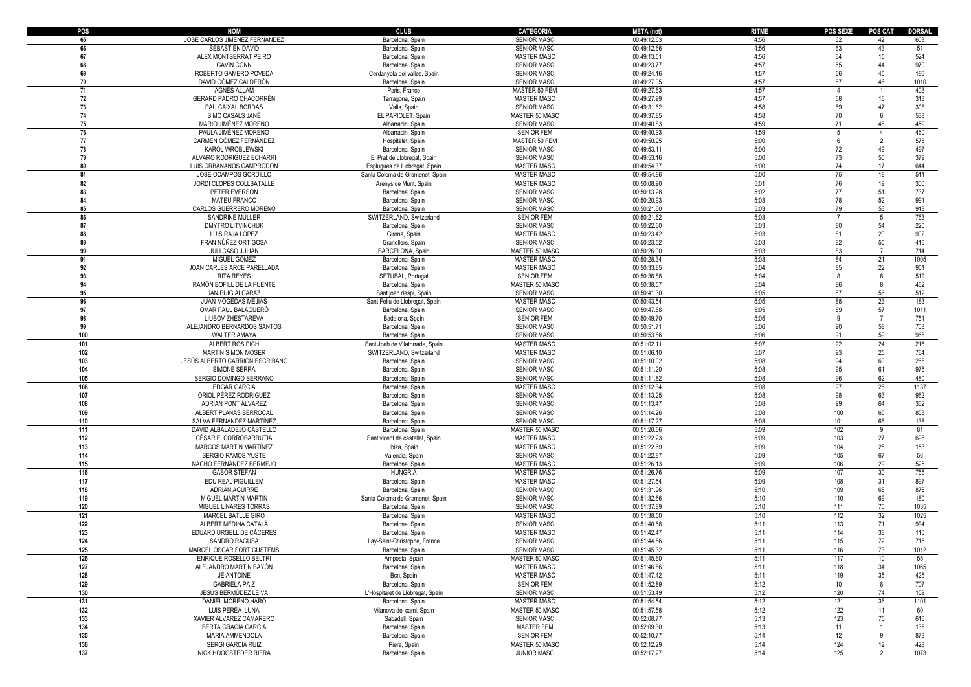| POS        | <b>NOM</b>                      | <b>CLUB</b>                                                  | <b>CATEGORIA</b>   | <b>META</b> (net) | <b>RITME</b> | <b>POS SEXE</b> | <b>POS CAT</b> | <b>DORSAL</b> |
|------------|---------------------------------|--------------------------------------------------------------|--------------------|-------------------|--------------|-----------------|----------------|---------------|
| 65         | JOSE CARLOS JIMENEZ FERNANDEZ   | Barcelona, Spain                                             | <b>SENIOR MASC</b> | 00:49:12.63       | 4:56         | 62              | 42             | 608           |
| 66         | SÉBASTIEN DAVID                 | Barcelona, Spain                                             | <b>SENIOR MASC</b> | 00:49:12.66       | 4:56         | 63              | 43             | 51            |
| 67         | ALEX MONTSERRAT PEIRO           | Barcelona, Spain                                             | <b>MASTER MASC</b> | 00:49:13.51       | 4:56         | 64              | 15             | 524           |
| 68         | <b>GAVIN CONN</b>               | Barcelona, Spain                                             | <b>SENIOR MASC</b> | 00:49:23.77       | 4:57         | 65              | 44             | 970           |
| 69         | ROBERTO GAMERO POVEDA           | Cerdanyola del valles, Spain                                 | <b>SENIOR MASC</b> | 00:49:24.16       | 4:57         | 66              | 45             | 186           |
| 70         | DAVID GÓMEZ CALDERÓN            | Barcelona, Spain                                             | <b>SENIOR MASC</b> | 00:49:27.05       | 4:57         | 67              | 46             | 1010          |
| 71         | <b>AGNES ALLAM</b>              | Paris, France                                                | MASTER 50 FEM      | 00:49:27.63       | 4:57         | $\overline{4}$  |                | 403           |
| ${\bf 72}$ | GERARD PADRÓ CHACORRÉN          | Tarragona, Spain                                             | <b>MASTER MASC</b> | 00:49:27.99       | 4:57         | 68              | 16             | 313           |
| 73         | PAU CAIXAL BORDAS               | Valls, Spain                                                 | <b>SENIOR MASC</b> | 00:49:31.62       | 4:58         | 69              | 47             | 308           |
| 74         | SIMÓ CASALS JANÉ                | EL PAPIOLET, Spain                                           | MASTER 50 MASC     | 00:49:37.85       | 4:58         | 70              | 6              | 538           |
| 75         | MARIO JIMÉNEZ MORENO            | Albarracin, Spain                                            | <b>SENIOR MASC</b> | 00:49:40.83       | 4:59         | 71              | 48             | 459           |
| 76         | PAULA JIMÉNEZ MORENO            | Albarracin, Spain                                            | <b>SENIOR FEM</b>  | 00:49:40.93       | 4:59         | 5               | 4              | 460           |
| 77         | CARMEN GOMEZ FERNANDEZ          | Hospitalet, Spain                                            | MASTER 50 FEM      | 00:49:50.95       | 5:00         | 6               | $\overline{2}$ | 575           |
| 78         | KAROL WRÓBLEWSKI                |                                                              | <b>SENIOR MASC</b> | 00:49:53.11       | 5:00         | 72              | 49             | 497           |
|            |                                 | Barcelona, Spain                                             | <b>SENIOR MASC</b> | 00:49:53.16       | 5:00         | 73              | 50             | 379           |
| 79<br>80   | ALVARO RODRIGUEZ ECHARRI        | El Prat de Llobregat, Spain<br>Espluques de Llobregat, Spain |                    | 00:49:54.37       | 5:00         | 74              | 17             | 644           |
|            | LUIS ORBAÑANOS CAMPRODON        |                                                              | <b>MASTER MASC</b> |                   | 5:00         |                 | 18             |               |
| 81         | JOSE OCAMPOS GORDILLO           | Santa Coloma de Gramenet, Spain                              | <b>MASTER MASC</b> | 00:49:54.86       |              | 75              |                | 511           |
| 82         | JORDI CLOPÉS COLLBATALLÉ        | Arenys de Munt, Spain                                        | <b>MASTER MASC</b> | 00:50:08.90       | 5:01         | 76              | 19             | 300           |
| 83         | PETER EVERSON                   | Barcelona, Spain                                             | <b>SENIOR MASC</b> | 00:50:13.28       | 5:02         | 77              | 51             | 737           |
| 84         | MATEU FRANCO                    | Barcelona, Spain                                             | SENIOR MASC        | 00:50:20.93       | 5:03         | 78              | 52             | 991           |
| 85         | CARLOS GUERRERO MORENO          | Barcelona, Spain                                             | <b>SENIOR MASC</b> | 00:50:21.60       | 5:03         | 79              | 53             | 918           |
| 86         | SANDRINE MÜLLER                 | SWITZERLAND, Switzerland                                     | <b>SENIOR FEM</b>  | 00:50:21.62       | 5:03         |                 | 5              | 763           |
| 87         | <b>DMYTRO LITVINCHUK</b>        | Barcelona, Spain                                             | <b>SENIOR MASC</b> | 00:50:22.60       | 5:03         | 80              | 54             | 220           |
| 88         | LUIS RAJA LOPEZ                 | Girona, Spain                                                | <b>MASTER MASC</b> | 00:50:23.42       | 5:03         | 81              | $20\,$         | 902           |
| 89         | FRAN NÚÑEZ ORTIGOSA             | Granollers, Spain                                            | SENIOR MASC        | 00:50:23.52       | 5:03         | 82              | 55             | 416           |
| 90         | JULI CASO JULIAN                | BARCELONA, Spain                                             | MASTER 50 MASC     | 00:50:26.00       | 5:03         | 83              | $\overline{7}$ | 714           |
| 91         | MIGUEL GÓMEZ                    | Barcelona, Spain                                             | MASTER MASC        | 00:50:28.34       | 5:03         | 84              | 21             | 1005          |
| 92         | JOAN CARLES ARCE PARELLADA      | Barcelona, Spain                                             | <b>MASTER MASC</b> | 00:50:33.85       | 5:04         | 85              | 22             | 951           |
| 93         | <b>RITA REYES</b>               | SETÚBAL, Portugal                                            | <b>SENIOR FEM</b>  | 00:50:36.88       | 5:04         | 8               | 6              | 519           |
| 94         | RAMÓN BOFILL DE LA FUENTE       | Barcelona, Spain                                             | MASTER 50 MASC     | 00:50:38.57       | 5:04         | 86              | 8              | 462           |
| 95         | <b>JAN PUIG ALCARAZ</b>         | Sant joan despi, Spain                                       | <b>SENIOR MASC</b> | 00:50:41.30       | 5:05         | 87              | 56             | 512           |
| 96         | JUAN MOGEDAS MEJIAS             | Sant Feliu de Llobregat, Spain                               | <b>MASTER MASC</b> | 00:50:43.54       | 5:05         | 88              | 23             | 183           |
| 97         | OMAR PAUL BALAGUERO             | Barcelona, Spain                                             | <b>SENIOR MASC</b> | 00:50:47.88       | 5:05         | 89              | 57             | 1011          |
| 98         | LIUBOV ZHESTAREVA               | Badalona, Spain                                              | <b>SENIOR FEM</b>  | 00:50:49.70       | 5:05         | 9               | $\overline{7}$ | 751           |
| 99         | ALEJANDRO BERNARDOS SANTOS      | Barcelona, Spain                                             | <b>SENIOR MASC</b> | 00:50:51.71       | 5:06         | $90\,$          | 58             | 708           |
| 100        | WALTER AMAYA                    | Barcelona, Spain                                             | SENIOR MASC        | 00:50:53.86       | 5:06         | 91              | 59             | 968           |
| 101        | ALBERT ROS PICH                 | Sant Joab de Vilatorrada, Spain                              | <b>MASTER MASC</b> | 00:51:02.11       | 5:07         | 92              | 24             | 216           |
| 102        | <b>MARTIN SIMON MOSER</b>       | SWITZERLAND, Switzerland                                     | <b>MASTER MASC</b> | 00:51:06.10       | 5:07         | 93              | 25             | 764           |
| 103        | JESÚS ALBERTO CARRIÓN ESCRIBANO | Barcelona, Spain                                             | SENIOR MASC        | 00:51:10.02       | 5:08         | 94              | 60             | 268           |
| 104        | SIMONE SERRA                    | Barcelona, Spain                                             | <b>SENIOR MASC</b> | 00:51:11.20       | 5:08         | 95              | 61             | 975           |
| 105        | SERGIO DOMINGO SERRANO          | Barcelona, Spain                                             | <b>SENIOR MASC</b> | 00:51:11.82       | 5:08         | 96              | 62             | 480           |
| 106        | <b>EDGAR GARCIA</b>             | Barcelona, Spain                                             | <b>MASTER MASC</b> | 00:51:12.34       | 5:08         | 97              | 26             | 1137          |
| 107        | ORIOL PÉREZ RODRÍGUEZ           | Barcelona, Spain                                             | <b>SENIOR MASC</b> | 00:51:13.25       | 5:08         | 98              | 63             | 962           |
| 108        | ADRIAN PONT ÁLVAREZ             | Barcelona, Spain                                             | <b>SENIOR MASC</b> | 00:51:13.47       | 5:08         | 99              | 64             | 362           |
| 109        | ALBERT PLANAS BERROCAL          |                                                              | <b>SENIOR MASC</b> | 00:51:14.26       | 5:08         | 100             | 65             | 853           |
|            |                                 | Barcelona, Spain<br>Barcelona, Spain                         |                    |                   | 5:08         | 101             | 66             | 138           |
| 110        | SALVA FERNANDEZ MARTÍNEZ        |                                                              | <b>SENIOR MASC</b> | 00:51:17.27       | 5:09         |                 |                | 81            |
| 111        | DAVID ALBALADEJO CASTELLÓ       | Barcelona, Spain                                             | MASTER 50 MASC     | 00:51:20.66       |              | 102             | 9              |               |
| 112        | CÉSAR ELCORROBARRUTIA           | Sant vicent de castellet, Spain                              | <b>MASTER MASC</b> | 00:51:22.23       | 5:09         | 103             | 27             | 698           |
| 113        | <b>MARCOS MARTÍN MARTÍNEZ</b>   | Ibiza, Spain                                                 | <b>MASTER MASC</b> | 00:51:22.69       | 5:09         | 104             | 28             | 153           |
| 114        | SERGIO RAMOS YUSTE              | Valencia, Spain                                              | <b>SENIOR MASC</b> | 00:51:22.87       | 5:09         | 105             | 67             | 56            |
| 115        | NACHO FERNÁNDEZ BERMEJO         | Barcelona, Spain                                             | <b>MASTER MASC</b> | 00:51:26.13       | 5:09         | 106             | 29             | 525           |
| 116        | <b>GABOR STEFAN</b>             | <b>HUNGRIA</b>                                               | <b>MASTER MASC</b> | 00:51:26.76       | 5:09         | 107             | 30             | 755           |
| 117        | EDU REAL PIGUILLEM              | Barcelona, Spain                                             | <b>MASTER MASC</b> | 00:51:27.54       | 5:09         | 108             | 31             | 897           |
| 118        | ADRIAN AGUIRRE                  | Barcelona, Spain                                             | <b>SENIOR MASC</b> | 00:51:31.96       | 5:10         | 109             | 68             | 876           |
| 119        | MIGUEL MARTÍN MARTÍN            | Santa Coloma de Gramenet, Spain                              | SENIOR MASC        | 00:51:32.66       | 5:10         | 110             | 69             | 180           |
| 120        | MIGUEL LINARES TORRAS           | Barcelona, Spain                                             | <b>SENIOR MASC</b> | 00:51:37.89       | 5:10         | 111             | 70             | 1035          |
| 121        | MARCEL BATLLE GIRO              | Barcelona, Spain                                             | <b>MASTER MASC</b> | 00:51:38.50       | 5:10         | 112             | 32             | 1025          |
| 122        | ALBERT MEDINA CATALA            | Barcelona, Spain                                             | <b>SENIOR MASC</b> | 00:51:40.68       | 5:11         | 113             | 71             | 994           |
| 123        | EDUARD URGELL DE CÁCERES        | Barcelona, Spain                                             | <b>MASTER MASC</b> | 00:51:42.47       | 5:11         | 114             | 33             | 110           |
| 124        | SANDRO RAGUSA                   | Lay-Saint-Christophe, France                                 | <b>SENIOR MASC</b> | 00:51:44.86       | 5:11         | 115             | 72             | 715           |
| 125        | MARCEL OSCAR SORT GUSTEMS       | Barcelona, Spain                                             | <b>SENIOR MASC</b> | 00:51:45.32       | 5:11         | 116             | 73             | 1012          |
| 126        | ENRIQUE ROSELLO BELTRI          | Amposta, Spain                                               | MASTER 50 MASC     | 00:51:45.60       | 5:11         | 117             | 10             | 55            |
| 127        | ALEJANDRO MARTÍN BAYÓN          | Barcelona, Spain                                             | MASTER MASC        | 00:51:46.86       | 5:11         | 118             | 34             | 1065          |
| 128        | JÉ ANTOINE                      | Bcn, Spain                                                   | <b>MASTER MASC</b> | 00:51:47.42       | 5:11         | 119             | 35             | 425           |
| 129        | <b>GABRIELA PAIZ</b>            | Barcelona, Spain                                             | <b>SENIOR FEM</b>  | 00:51:52.89       | 5:12         | 10              | 8              | 707           |
| 130        | JESÚS BERMÚDEZ LEIVA            | L'Hospitalet de Llobregat, Spain                             | <b>SENIOR MASC</b> | 00:51:53.49       | 5:12         | 120             | 74             | 159           |
| 131        | DANIEL MORENO HARO              | Barcelona, Spain                                             | <b>MASTER MASC</b> | 00:51:54.54       | 5:12         | 121             | 36             | 1101          |
| 132        | LUIS PEREA LUNA                 | Vilanova del cami, Spain                                     | MASTER 50 MASC     | 00:51:57.58       | 5:12         | 122             | 11             | 60            |
| 133        | XAVIER ALVAREZ CAMARERO         | Sabadell, Spain                                              | <b>SENIOR MASC</b> | 00:52:08.77       | 5:13         | 123             | 75             | 616           |
| 134        | <b>BERTA GRACIA GARCIA</b>      |                                                              | <b>MASTER FEM</b>  | 00:52:09.30       | 5:13         | 11              | $\mathbf{1}$   | 136           |
|            |                                 | Barcelona, Spain                                             |                    |                   |              |                 | 9              |               |
| 135        | MARIA AMMENDOLA                 | Barcelona, Spain                                             | <b>SENIOR FEM</b>  | 00:52:10.77       | 5:14         | 12              |                | 873           |
| 136        | SERGI GARCIA RUIZ               | Piera, Spain                                                 | MASTER 50 MASC     | 00:52:12.29       | 5:14         | 124             | 12             | 428           |
| 137        | NICK HOOGSTEDER RIERA           | Barcelona, Spain                                             | JUNIOR MASC        | 00:52:17.27       | 5:14         | 125             | $\overline{2}$ | 1073          |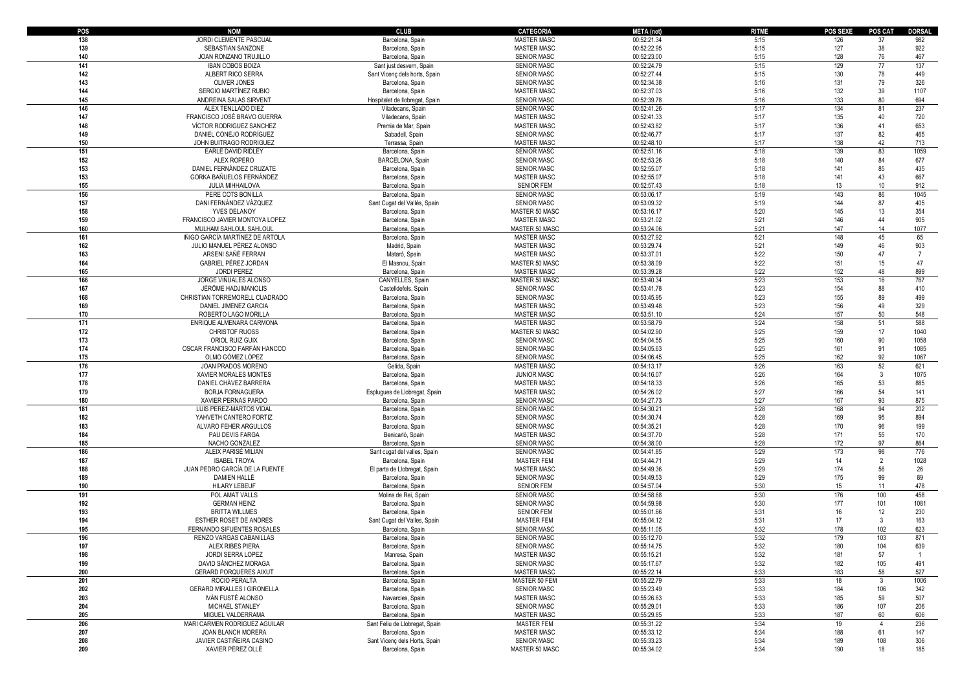| POS | <b>NOM</b>                         | <b>CLUB</b>                    | <b>CATEGORIA</b>   | <b>META</b> (net) | <b>RITME</b> | POS SEXE | POS CAT        | <b>DORSAL</b> |
|-----|------------------------------------|--------------------------------|--------------------|-------------------|--------------|----------|----------------|---------------|
| 138 | JORDI CLEMENTE PASCUAL             | Barcelona, Spain               | <b>MASTER MASC</b> | 00:52:21.34       | 5:15         | 126      | 37             | 982           |
| 139 | SEBASTIAN SANZONE                  | Barcelona, Spain               | <b>MASTER MASC</b> | 00:52:22.95       | 5:15         | 127      | $38\,$         | 922           |
|     |                                    |                                |                    |                   |              |          |                |               |
| 140 | JOAN RONZANO TRUJILLO              | Barcelona, Spain               | <b>SENIOR MASC</b> | 00:52:23.00       | 5:15         | 128      | 76             | 467           |
| 141 | <b>IBAN COBOS BOIZA</b>            | Sant just desvern, Spain       | <b>SENIOR MASC</b> | 00:52:24.79       | 5:15         | 129      | 77             | 137           |
| 142 | ALBERT RICO SERRA                  | Sant Vicenç dels horts, Spain  | <b>SENIOR MASC</b> | 00:52:27.44       | 5:15         | 130      | 78             | 449           |
| 143 | OLIVER JONES                       | Barcelona, Spain               | <b>SENIOR MASC</b> | 00:52:34.38       | 5:16         | 131      | 79             | 326           |
| 144 | SERGIO MARTÍNEZ RUBIO              | Barcelona, Spain               | <b>MASTER MASC</b> | 00:52:37.03       | 5:16         | 132      | 39             | 1107          |
| 145 | ANDREINA SALAS SIRVENT             | Hospitalet de llobregat, Spain | <b>SENIOR MASC</b> | 00:52:39.78       | 5:16         | 133      | 80             | 694           |
|     |                                    |                                |                    |                   |              |          |                |               |
| 146 | ÁLEX TENLLADO DIEZ                 | Viladecans, Spain              | <b>SENIOR MASC</b> | 00:52:41.26       | 5:17         | 134      | 81             | 237           |
| 147 | FRANCISCO JOSÉ BRAVO GUERRA        | Viladecans, Spain              | <b>MASTER MASC</b> | 00:52:41.33       | 5:17         | 135      | 40             | 720           |
| 148 | VÍCTOR RODRIGUEZ SANCHEZ           | Premia de Mar, Spain           | <b>MASTER MASC</b> | 00:52:43.82       | 5:17         | 136      | 41             | 653           |
| 149 | DANIEL CONEJO RODRÍGUEZ            | Sabadell, Spain                | <b>SENIOR MASC</b> | 00:52:46.77       | 5:17         | 137      | 82             | 465           |
| 150 | JOHN BUITRAGO RODRIGUEZ            | Terrassa, Spain                | <b>MASTER MASC</b> | 00:52:48.10       | 5:17         | 138      | 42             | 713           |
|     |                                    |                                |                    |                   |              |          |                |               |
| 151 | EARLE DAVID RIDLEY                 | Barcelona, Spain               | <b>SENIOR MASC</b> | 00:52:51.16       | 5:18         | 139      | 83             | 1059          |
| 152 | ALEX ROPERO                        | BARCELONA, Spain               | <b>SENIOR MASC</b> | 00:52:53.26       | 5:18         | 140      | 84             | 677           |
| 153 | DANIEL FERNÁNDEZ CRUZATE           | Barcelona, Spain               | <b>SENIOR MASC</b> | 00:52:55.07       | 5:18         | 141      | 85             | 435           |
| 153 | GORKA BAÑUELOS FERNÁNDEZ           | Barcelona, Spain               | <b>MASTER MASC</b> | 00:52:55.07       | 5:18         | 141      | 43             | 667           |
| 155 | <b>JULIA MIHHAILOVA</b>            | Barcelona, Spain               | <b>SENIOR FEM</b>  | 00:52:57.43       | 5:18         | 13       | $10$           | 912           |
|     |                                    |                                |                    |                   | 5:19         | 143      | 86             | 1045          |
| 156 | PERE COTS BONILLA                  | Barcelona, Spain               | <b>SENIOR MASC</b> | 00:53:06.17       |              |          |                |               |
| 157 | DANI FERNÁNDEZ VÁZQUEZ             | Sant Cugat del Vallès, Spain   | <b>SENIOR MASC</b> | 00:53:09.32       | 5:19         | 144      | 87             | 405           |
| 158 | YVES DELANOY                       | Barcelona, Spain               | MASTER 50 MASC     | 00:53:16.17       | 5:20         | 145      | 13             | 354           |
| 159 | FRANCISCO JAVIER MONTOYA LOPEZ     | Barcelona, Spain               | <b>MASTER MASC</b> | 00:53:21.02       | 5:21         | 146      | 44             | 905           |
| 160 | MULHAM SAHLOUL SAHLOUL             | Barcelona, Spain               | MASTER 50 MASC     | 00:53:24.06       | 5:21         | 147      | 14             | 1077          |
|     |                                    |                                |                    |                   |              | 148      |                |               |
| 161 | IÑIGO GARCÍA MARTÍNEZ DE ARTOLA    | Barcelona, Spain               | <b>MASTER MASC</b> | 00:53:27.92       | 5:21         |          | 45             | 65            |
| 162 | JULIO MANUEL PÉREZ ALONSO          | Madrid, Spain                  | <b>MASTER MASC</b> | 00:53:29.74       | 5:21         | 149      | 46             | 903           |
| 163 | ARSENI SAÑÉ FERRAN                 | Mataró, Spain                  | <b>MASTER MASC</b> | 00:53:37.01       | 5:22         | 150      | 47             |               |
| 164 | <b>GABRIEL PÉREZ JORDAN</b>        | El Masnou, Spain               | MASTER 50 MASC     | 00:53:38.09       | 5:22         | 151      | 15             | 47            |
| 165 | <b>JORDI PEREZ</b>                 | Barcelona, Spain               | <b>MASTER MASC</b> | 00:53:39.28       | 5:22         | 152      | 48             | 899           |
| 166 | JORGE VIÑUALES ALONSO              | CANYELLES, Spain               | MASTER 50 MASC     | 00:53:40.34       | 5:23         | 153      | 16             | 767           |
|     |                                    |                                |                    |                   |              |          |                |               |
| 167 | JÉRÔME HADJIMANOLIS                | Castelldefels, Spain           | <b>SENIOR MASC</b> | 00:53:41.78       | 5:23         | 154      | 88             | 410           |
| 168 | CHRISTIAN TORREMORELL CUADRADO     | Barcelona, Spain               | <b>SENIOR MASC</b> | 00:53:45.95       | 5:23         | 155      | 89             | 499           |
| 169 | DANIEL JIMENEZ GARCIA              | Barcelona, Spain               | <b>MASTER MASC</b> | 00:53:49.48       | 5:23         | 156      | 49             | 329           |
| 170 | ROBERTO LAGO MORILLA               | Barcelona, Spain               | <b>MASTER MASC</b> | 00:53:51.10       | 5:24         | 157      | 50             | 548           |
| 171 | ENRIQUE ALMENARA CARMONA           | Barcelona, Spain               | <b>MASTER MASC</b> | 00:53:58.79       | 5:24         | 158      | 51             | 588           |
|     |                                    |                                |                    |                   |              |          |                |               |
| 172 | <b>CHRISTOF RUOSS</b>              | Barcelona, Spain               | MASTER 50 MASC     | 00:54:02.90       | 5:25         | 159      | 17             | 1040          |
| 173 | ORIOL RUIZ GUIX                    | Barcelona, Spain               | <b>SENIOR MASC</b> | 00:54:04.55       | 5:25         | 160      | $90\,$         | 1058          |
| 174 | OSCAR FRANCISCO FARFÁN HANCCO      | Barcelona, Spain               | <b>SENIOR MASC</b> | 00:54:05.63       | 5:25         | 161      | 91             | 1085          |
| 175 | OLMO GÓMEZ LÓPEZ                   | Barcelona, Spain               | <b>SENIOR MASC</b> | 00:54:06.45       | 5:25         | 162      | 92             | 1067          |
| 176 | JOAN PRADOS MORENO                 | Gelida, Spain                  | <b>MASTER MASC</b> | 00:54:13.17       | 5:26         | 163      | 52             | 621           |
| 177 | XAVIER MORALES MONTES              | Barcelona, Spain               | <b>JUNIOR MASC</b> | 00:54:16.07       | 5:26         | 164      | $\mathbf{3}$   | 1075          |
|     |                                    |                                |                    |                   |              |          |                |               |
| 178 | DANIEL CHÁVEZ BARRERA              | Barcelona, Spain               | <b>MASTER MASC</b> | 00:54:18.33       | 5:26         | 165      | 53             | 885           |
| 179 | <b>BORJA FORNAGUERA</b>            | Esplugues de Llobregat, Spain  | MASTER MASC        | 00:54:26.02       | 5:27         | 166      | 54             | 141           |
| 180 | XAVIER PERNAS PARDO                | Barcelona, Spain               | <b>SENIOR MASC</b> | 00:54:27.73       | 5:27         | 167      | 93             | 875           |
| 181 | LUIS PEREZ-MARTOS VIDAI            | Barcelona, Spain               | <b>SENIOR MASC</b> | 00:54:30.21       | 5:28         | 168      | 94             | 202           |
| 182 | YAHVETH CANTERO FORTIZ             | Barcelona, Spain               | <b>SENIOR MASC</b> | 00:54:30.74       | 5:28         | 169      | 95             | 894           |
|     |                                    |                                |                    |                   |              |          | 96             |               |
| 183 | ALVARO FEHER ARGULLOS              | Barcelona, Spain               | <b>SENIOR MASC</b> | 00:54:35.21       | 5:28         | 170      |                | 199           |
| 184 | PAU DEVIS FARGA                    | Benicarló, Spain               | <b>MASTER MASC</b> | 00:54:37.70       | 5:28         | 171      | 55             | 170           |
| 185 | NACHO GONZALEZ                     | Barcelona, Spain               | <b>SENIOR MASC</b> | 00:54:38.00       | 5:28         | 172      | 97             | 864           |
| 186 | ALEIX PARISÉ MILIAN                | Sant cugat del valles, Spain   | <b>SENIOR MASC</b> | 00:54:41.85       | 5:29         | 173      | 98             | 776           |
| 187 | <b>ISABEL TROYA</b>                | Barcelona, Spain               | <b>MASTER FEM</b>  | 00:54:44.71       | 5:29         | 14       | $\overline{2}$ | 1028          |
| 188 | JUAN PEDRO GARCÍA DE LA FUENTE     | El parta de Llobregat, Spain   | <b>MASTER MASC</b> | 00:54:49.36       | 5:29         | 174      | 56             | 26            |
|     |                                    |                                |                    |                   |              |          |                |               |
| 189 | <b>DAMIEN HALLÉ</b>                | Barcelona, Spain               | <b>SENIOR MASC</b> | 00:54:49.53       | 5:29         | 175      | 99             | 89            |
| 190 | <b>HILARY LEBEUF</b>               | Barcelona, Spain               | <b>SENIOR FEM</b>  | 00:54:57.04       | 5:30         | 15       | 11             | 478           |
| 191 | POL AMAT VALLS                     | Molins de Rei, Spain           | <b>SENIOR MASC</b> | 00:54:58.68       | 5:30         | 176      | 100            | 458           |
| 192 | <b>GERMAN HEINZ</b>                | Barcelona, Spain               | <b>SENIOR MASC</b> | 00:54:59.98       | 5:30         | 177      | 101            | 1081          |
| 193 | <b>BRITTA WILLMES</b>              | Barcelona, Spain               | <b>SENIOR FEM</b>  | 00:55:01.66       | 5:31         | 16       | 12             | 230           |
| 194 | ESTHER ROSET DE ANDRES             |                                | <b>MASTER FEM</b>  | 00:55:04.12       | 5:31         | 17       | $\overline{3}$ | 163           |
|     |                                    | Sant Cugat del Valles, Spain   |                    |                   |              |          |                |               |
| 195 | FERNANDO SIFUENTES ROSALES         | Barcelona, Spain               | <b>SENIOR MASC</b> | 00:55:11.05       | 5:32         | 178      | 102            | 623           |
| 196 | RENZO VARGAS CABANILLAS            | Barcelona, Spain               | <b>SENIOR MASC</b> | 00:55:12.70       | 5:32         | 179      | 103            | 871           |
| 197 | ALEX RIBES PIERA                   | Barcelona, Spain               | <b>SENIOR MASC</b> | 00:55:14.75       | 5:32         | 180      | 104            | 639           |
| 198 | JORDI SERRA LOPEZ                  | Manresa, Spain                 | MASTER MASC        | 00:55:15.21       | 5:32         | 181      | 57             |               |
| 199 | DAVID SÁNCHEZ MORAGA               | Barcelona, Spain               | <b>SENIOR MASC</b> | 00:55:17.67       | 5:32         | 182      | 105            | 491           |
| 200 | <b>GERARD PORQUERES AIXUT</b>      |                                | <b>MASTER MASC</b> | 00:55:22.14       | 5:33         | 183      |                | 527           |
|     |                                    | Barcelona, Spain               |                    |                   |              |          | 58             |               |
| 201 | ROCIO PERALTA                      | Barcelona, Spain               | MASTER 50 FEM      | 00:55:22.79       | 5:33         | 18       | $\overline{3}$ | 1006          |
| 202 | <b>GERARD MIRALLES I GIRONELLA</b> | Barcelona, Spain               | <b>SENIOR MASC</b> | 00:55:23.49       | 5:33         | 184      | 106            | 342           |
| 203 | IVÁN FUSTÉ ALONSO                  | Navarcles, Spain               | MASTER MASC        | 00:55:26.63       | 5:33         | 185      | 59             | 507           |
| 204 | MICHAEL STANLEY                    | Barcelona, Spain               | <b>SENIOR MASC</b> | 00:55:29.01       | 5:33         | 186      | 107            | 206           |
| 205 | MIGUEL VALDERRAMA                  | Barcelona, Spain               | <b>MASTER MASC</b> | 00:55:29.85       | 5:33         | 187      | 60             | 606           |
|     |                                    |                                |                    |                   |              |          |                |               |
| 206 | MARI CARMEN RODRIGUEZ AGUILAR      | Sant Feliu de Llobregat, Spain | <b>MASTER FEM</b>  | 00:55:31.22       | 5:34         | 19       | $\overline{4}$ | 236           |
| 207 | <b>JOAN BLANCH MORERA</b>          | Barcelona, Spain               | MASTER MASC        | 00:55:33.12       | 5:34         | 188      | 61             | 147           |
| 208 | JAVIER CASTIÑEIRA CASINO           | Sant Vicenç dels Horts, Spain  | <b>SENIOR MASC</b> | 00:55:33.23       | 5:34         | 189      | 108            | 306           |
| 209 | XAVIER PÉREZ OLLÉ                  | Barcelona, Spain               | MASTER 50 MASC     | 00:55:34.02       | 5:34         | 190      | 18             | 185           |
|     |                                    |                                |                    |                   |              |          |                |               |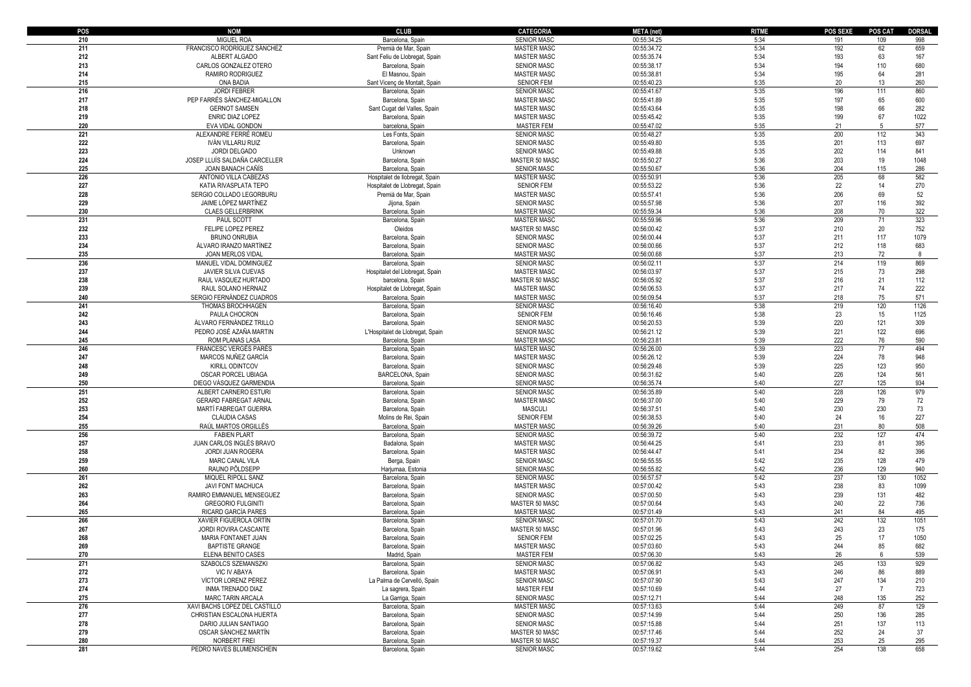| POS | <b>NOM</b>                       | <b>CLUB</b>                      | <b>CATEGORIA</b>                  | META (net)  | <b>RITME</b> | <b>POS SEXE</b> | <b>POS CAT</b>  | <b>DORSAL</b> |
|-----|----------------------------------|----------------------------------|-----------------------------------|-------------|--------------|-----------------|-----------------|---------------|
| 210 | <b>MIGUEL ROA</b>                | Barcelona, Spain                 | <b>SENIOR MASC</b>                | 00:55:34.25 | 5:34         | 191             | 109             | 998           |
| 211 | FRANCISCO RODRÍGUEZ SÁNCHEZ      | Premià de Mar, Spair             | <b>MASTER MASC</b>                | 00:55:34.72 | 5:34         | 192             | 62              | 659           |
| 212 | ALBERT ALGADO                    | Sant Feliu de Llobregat, Spain   | <b>MASTER MASC</b>                | 00:55:35.74 | 5:34         | 193             | 63              | 167           |
| 213 | CARLOS GONZALEZ OTERO            | Barcelona, Spain                 | <b>SENIOR MASC</b>                | 00:55:38.17 | 5:34         | 194             | 110             | 680           |
| 214 | RAMIRO RODRIGUEZ                 | El Masnou, Spain                 | <b>MASTER MASC</b>                | 00:55:38.81 | 5:34         | 195             | 64              | 281           |
| 215 | ONA BADIA                        | Sant Vicenç de Montalt, Spain    | <b>SENIOR FEM</b>                 | 00:55:40.23 | 5:35         | 20              | 13              | 260           |
| 216 | <b>JORDI FEBRER</b>              | Barcelona, Spain                 | <b>SENIOR MASC</b>                | 00:55:41.67 | 5:35         | 196             | 111             | 860           |
| 217 | PEP FARRÉS SÁNCHEZ-MIGALLON      | Barcelona, Spain                 | <b>MASTER MASC</b>                | 00:55:41.89 | 5:35         | 197             | 65              | 600           |
| 218 | <b>GERNOT SAMSEN</b>             | Sant Cugat del Valles, Spain     | <b>MASTER MASC</b>                | 00:55:43.64 | 5:35         | 198             | 66              | 282           |
| 219 | <b>ENRIC DIAZ LOPEZ</b>          | Barcelona, Spain                 | <b>MASTER MASC</b>                | 00:55:45.42 | 5:35         | 199             | 67              | 1022          |
| 220 | EVA VIDAL GONDON                 | barcelona, Spain                 | <b>MASTER FEM</b>                 | 00:55:47.02 | 5:35         | 21              | 5               | 577           |
| 221 | ALEXANDRE FERRÉ ROMEU            | Les Fonts, Spain                 | <b>SENIOR MASC</b>                | 00:55:48.27 | 5:35         | 200             | 112             | 343           |
| 222 | IVÁN VILLARIJ RUIZ               | Barcelona, Spain                 | <b>SENIOR MASC</b>                | 00:55:49.80 | 5:35         | 201             | 113             | 697           |
| 223 | JORDI DELGADO                    | Unknown                          | <b>SENIOR MASC</b>                | 00:55:49.88 | 5:35         | 202             | 114             | 841           |
| 224 | JOSEP LLUÍS SALDAÑA CARCELLER    | Barcelona, Spain                 | MASTER 50 MASC                    | 00:55:50.27 | 5:36         | 203             | 19              | 1048          |
| 225 | JOAN BANACH CAÑÍS                | Barcelona, Spain                 | <b>SENIOR MASC</b>                | 00:55:50.67 | 5:36         | 204             | 115             | 286           |
| 226 | ANTONIO VILLA CABEZAS            | Hospitalet de llobregat, Spain   | <b>MASTER MASC</b>                | 00:55:50.91 | 5:36         | 205             | 68              | 582           |
| 227 | KATIA RIVASPLATA TEPO            | Hospitalet de Llobregat, Spain   | <b>SENIOR FEM</b>                 | 00:55:53.22 | 5:36         | 22              | 14              | 270           |
| 228 | SERGIO COLLADO LEGORBURU         | Premià de Mar, Spain             | <b>MASTER MASC</b>                | 00:55:57.41 | 5:36         | 206             | 69              | 52            |
| 229 | JAIME LÓPEZ MARTÍNEZ             | Jijona, Spain                    | <b>SENIOR MASC</b>                | 00:55:57.98 | 5:36         | 207             | 116             | 392           |
| 230 | <b>CLAES GELLERBRINK</b>         | Barcelona, Spair                 | <b>MASTER MASC</b>                | 00:55:59.34 | 5:36         | 208             | 70              | 322           |
| 231 |                                  |                                  | <b>MASTER MASC</b>                | 00:55:59.96 | 5:36         | 209             | 71              | 323           |
| 232 | PAUL SCOTT<br>FELIPE LOPEZ PEREZ | Barcelona, Spain                 |                                   |             | 5:37         | 210             | 20              |               |
|     |                                  | Oleidos                          | MASTER 50 MASC                    | 00:56:00.42 |              |                 |                 | 752           |
| 233 | <b>BRUNO ONRUBIA</b>             | Barcelona, Spain                 | <b>SENIOR MASC</b>                | 00:56:00.44 | 5:37         | 211             | 117             | 1079          |
| 234 | ÁLVARO IRANZO MARTÍNEZ           | Barcelona, Spain                 | <b>SENIOR MASC</b>                | 00:56:00.66 | 5:37         | 212             | 118             | 683           |
| 235 | JOAN MERLOS VIDAL                | Barcelona, Spair                 | <b>MASTER MASC</b><br>SENIOR MASC | 00:56:00.68 | 5:37         | 213             | $72\,$          | 8             |
| 236 | MANUEL VIDAL DOMINGUEZ           | Barcelona, Spain                 |                                   | 00:56:02.11 | 5:37         | 214             | 119             | 869           |
| 237 | JAVIER SILVA CUEVAS              | Hospitalet del Llobregat, Spain  | <b>MASTER MASC</b>                | 00:56:03.97 | 5:37         | 215             | 73              | 298           |
| 238 | RAUL VASQUEZ HURTADO             | barcelona. Spain                 | MASTER 50 MASC                    | 00:56:05.92 | 5:37         | 216             | 21              | 112           |
| 239 | RAUL SOLANO HERNAIZ              | Hospitalet de Llobregat, Spain   | <b>MASTER MASC</b>                | 00:56:06.53 | 5:37         | 217             | 74              | 222           |
| 240 | SERGIO FERNÁNDEZ CUADROS         | Barcelona, Spain                 | <b>MASTER MASC</b>                | 00:56:09.54 | 5:37         | 218             | 75              | 571           |
| 241 | THOMAS BROCHHAGEN                | Barcelona, Spain                 | <b>SENIOR MASC</b>                | 00:56:16.40 | 5:38         | 219             | 120             | 1126          |
| 242 | PAULA CHOCRON                    | Barcelona, Spain                 | <b>SENIOR FEM</b>                 | 00:56:16.46 | 5:38         | 23              | 15              | 1125          |
| 243 | ÁLVARO FERNÁNDEZ TRILLO          | Barcelona, Spain                 | <b>SENIOR MASC</b>                | 00:56:20.53 | 5:39         | 220             | 121             | 309           |
| 244 | PEDRO JOSÉ AZAÑA MARTIN          | L'Hospitalet de Llobregat, Spain | SENIOR MASC                       | 00:56:21.12 | 5:39         | 221             | 122             | 696           |
| 245 | <b>ROM PLANAS LASA</b>           | Barcelona, Spair                 | <b>MASTER MASC</b>                | 00:56:23.81 | 5:39         | 222             | 76              | 590           |
| 246 | <b>FRANCESC VERGÉS PARÉS</b>     | Barcelona, Spain                 | <b>MASTER MASC</b>                | 00:56:26.00 | 5:39         | 223             | $\overline{77}$ | 494           |
| 247 | MARCOS NUÑEZ GARCÍA              | Barcelona, Spain                 | MASTER MASC                       | 00:56:26.12 | 5:39         | 224             | 78              | 948           |
| 248 | KIRILL ODINTCOV                  | Barcelona, Spain                 | <b>SENIOR MASC</b>                | 00:56:29.48 | 5:39         | 225             | 123             | 950           |
| 249 | OSCAR PORCEL UBIAGA              | BARCELONA, Spain                 | <b>SENIOR MASC</b>                | 00:56:31.62 | 5:40         | 226             | 124             | 561           |
| 250 | DIEGO VÁSQUEZ GARMENDIA          | Barcelona, Spain                 | <b>SENIOR MASC</b>                | 00:56:35.74 | 5:40         | 227             | 125             | 934           |
| 251 | ALBERT CARNERO ESTURI            | Barcelona, Spain                 | <b>SENIOR MASC</b>                | 00:56:35.89 | 5:40         | 228             | 126             | 979           |
| 252 | <b>GERARD FABREGAT ARNAL</b>     | Barcelona, Spain                 | <b>MASTER MASC</b>                | 00:56:37.00 | 5:40         | 229             | 79              | 72            |
| 253 | MARTÍ FABREGAT GUERRA            | Barcelona, Spain                 | <b>MASCULI</b>                    | 00:56:37.51 | 5:40         | 230             | 230             | 73            |
| 254 | CLÀUDIA CASAS                    | Molins de Rei, Spain             | <b>SENIOR FEM</b>                 | 00:56:38.53 | 5:40         | 24              | 16              | 227           |
| 255 | RAÚL MARTOS ORGILLÉS             | Barcelona, Spain                 | <b>MASTER MASC</b>                | 00:56:39.26 | 5:40         | 231             | 80              | 508           |
| 256 | <b>FABIEN PLART</b>              | Barcelona, Spain                 | <b>SENIOR MASC</b>                | 00:56:39.72 | 5:40         | 232             | 127             | 474           |
| 257 | JUAN CARLOS INGLÉS BRAVO         | Badalona, Spain                  | <b>MASTER MASC</b>                | 00:56:44.25 | 5:41         | 233             | 81              | 395           |
| 258 | JORDI JUAN ROGERA                | Barcelona, Spain                 | <b>MASTER MASC</b>                | 00:56:44.47 | 5:41         | 234             | 82              | 396           |
| 259 | MARC CANAL VILA                  | Berga, Spain                     | <b>SENIOR MASC</b>                | 00:56:55.55 | 5:42         | 235             | 128             | 479           |
| 260 | RAUNO PÕLDSEPP                   | Harjumaa, Estonia                | <b>SENIOR MASC</b>                | 00:56:55.82 | 5:42         | 236             | 129             | 940           |
| 261 | MIQUEL RIPOLL SANZ               | Barcelona, Spair                 | <b>SENIOR MASC</b>                | 00:56:57.57 | 5:42         | 237             | 130             | 1052          |
| 262 | <b>JAVI FONT MACHUCA</b>         | Barcelona, Spain                 | <b>MASTER MASC</b>                | 00:57:00.42 | 5:43         | 238             | 83              | 1099          |
| 263 | RAMIRO EMMANUEL MENSEGUEZ        | Barcelona, Spain                 | SENIOR MASC                       | 00:57:00.50 | 5:43         | 239             | 131             | 482           |
| 264 | <b>GREGORIO FULGINITI</b>        | Barcelona, Spain                 | MASTER 50 MASC                    | 00:57:00.64 | 5:43         | 240             | 22              | 736           |
| 265 | RICARD GARCÍA PARES              | Barcelona, Spain                 | <b>MASTER MASC</b>                | 00:57:01.49 | 5:43         | 241             | 84              | 495           |
| 266 | XAVIER FIGUEROLA ORTÍN           | Barcelona, Spain                 | <b>SENIOR MASC</b>                | 00:57:01.70 | 5:43         | 242             | 132             | 1051          |
| 267 | JORDI ROVIRA CASCANTE            | Barcelona, Spain                 | MASTER 50 MASC                    | 00:57:01.96 | 5:43         | 243             | 23              | 175           |
| 268 | MARIA FONTANET JUAN              | Barcelona, Spain                 | <b>SENIOR FEM</b>                 | 00:57:02.25 | 5:43         | 25              | 17              | 1050          |
| 269 | <b>BAPTISTE GRANGE</b>           | Barcelona, Spain                 | <b>MASTER MASC</b>                | 00:57:03.60 | 5:43         | 244             | 85              | 682           |
| 270 | ELENA BENITO CASES               | Madrid, Spain                    | <b>MASTER FEM</b>                 | 00:57:06.30 | 5:43         | 26              | 6               | 539           |
| 271 | SZABOLCS SZEMANSZKI              | Barcelona, Spain                 | <b>SENIOR MASC</b>                | 00:57:06.82 | 5:43         | 245             | 133             | 929           |
| 272 | VIC IV ABAYA                     | Barcelona, Spain                 | <b>MASTER MASC</b>                | 00:57:06.91 | 5:43         | 246             | 86              | 889           |
| 273 | VÍCTOR LORENZ PÉREZ              | La Palma de Cervelló, Spain      | <b>SENIOR MASC</b>                | 00:57:07.90 | 5:43         | 247             | 134             | 210           |
| 274 | <b>INMA TRENADO DIAZ</b>         | La sagrera, Spain                | <b>MASTER FEM</b>                 | 00:57:10.69 | 5:44         | 27              | $\overline{7}$  | 723           |
| 275 | MARC TARIN ARCALA                | La Garriga, Spain                | <b>SENIOR MASC</b>                | 00:57:12.71 | 5:44         | 248             | 135             | 252           |
| 276 | XAVI BACHS LOPEZ DEL CASTILLO    | Barcelona, Spain                 | <b>MASTER MASC</b>                | 00:57:13.63 | 5:44         | 249             | 87              | 129           |
| 277 | CHRISTIAN ESCALONA HUERTA        | Barcelona, Spain                 | <b>SENIOR MASC</b>                | 00:57:14.99 | 5:44         | 250             | 136             | 285           |
| 278 | DARIO JULIAN SANTIAGO            | Barcelona, Spain                 | <b>SENIOR MASC</b>                | 00:57:15.88 | 5:44         | 251             | 137             | 113           |
| 279 | OSCAR SÁNCHEZ MARTÍN             | Barcelona, Spain                 | MASTER 50 MASC                    | 00:57:17.46 | 5:44         | 252             | 24              | 37            |
| 280 | NORBERT FREI                     | Barcelona, Spain                 | MASTER 50 MASC                    | 00:57:19.37 | 5:44         | 253             | 25              | 295           |
| 281 | PEDRO NAVES BLUMENSCHEIN         | Barcelona, Spain                 | <b>SENIOR MASC</b>                | 00:57:19.62 | 5:44         | 254             | 138             | 658           |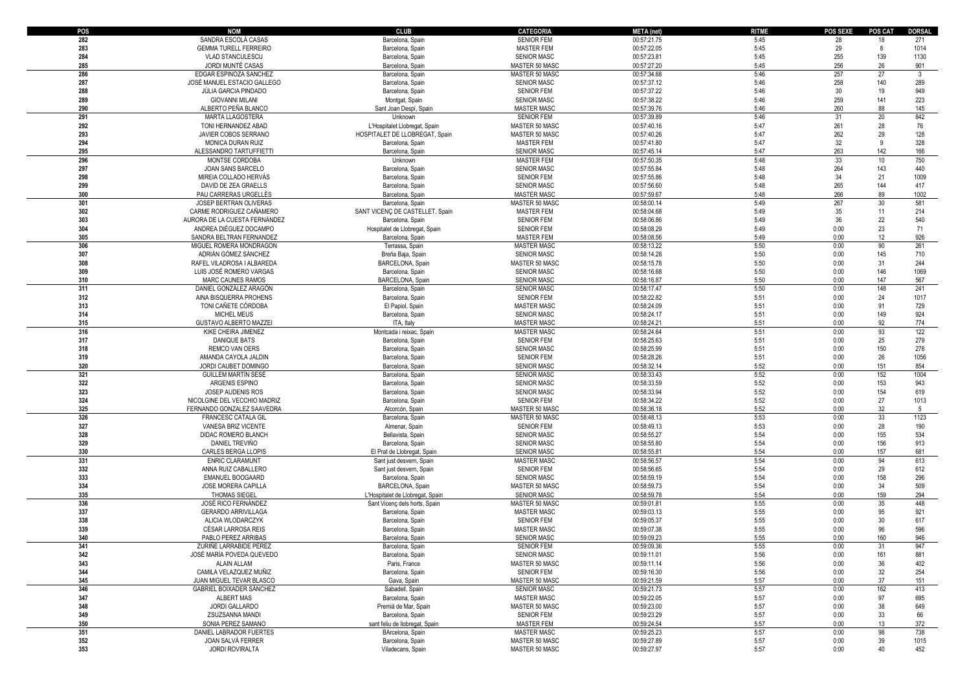| POS | <b>NOM</b>                    | <b>CLUB</b>                      | <b>CATEGORIA</b>   | <b>META</b> (net) | <b>RITME</b> | <b>POS SEXE</b> | <b>POS CAT</b> | <b>DORSAL</b> |
|-----|-------------------------------|----------------------------------|--------------------|-------------------|--------------|-----------------|----------------|---------------|
| 282 | SANDRA ESCOLÀ CASAS           | Barcelona, Spain                 | <b>SENIOR FEM</b>  | 00:57:21.75       | 5:45         | 28              | 18             | 271           |
| 283 | <b>GEMMA TURELL FERREIRO</b>  | Barcelona, Spain                 | <b>MASTER FEM</b>  | 00:57:22.05       | 5:45         | 29              | 8              | 1014          |
| 284 | <b>VLAD STANCULESCU</b>       | Barcelona, Spain                 | SENIOR MASC        | 00:57:23.81       | 5:45         | 255             | 139            | 1130          |
| 285 | JORDI MUNTÉ CASAS             | Barcelona, Spain                 | MASTER 50 MASC     | 00:57:27.20       | 5:45         | 256             | 26             | 901           |
| 286 | EDGAR ESPINOZA SANCHEZ        |                                  |                    |                   | 5:46         | 257             | 27             | 3             |
|     |                               | Barcelona, Spain                 | MASTER 50 MASC     | 00:57:34.68       |              |                 |                |               |
| 287 | JOSÉ MANUEL ESTACIO GALLEGO   | Barcelona, Spain                 | <b>SENIOR MASC</b> | 00:57:37.12       | 5:46         | 258             | 140            | 289           |
| 288 | JÚLIA GARCIA PINDADO          | Barcelona, Spain                 | <b>SENIOR FEM</b>  | 00:57:37.22       | 5:46         | 30              | 19             | 949           |
| 289 | <b>GIOVANNI MILANI</b>        | Montgat, Spain                   | <b>SENIOR MASC</b> | 00:57:38.22       | 5:46         | 259             | 141            | 223           |
| 290 | ALBERTO PEÑA BLANCO           | Sant Joan Despi, Spain           | <b>MASTER MASC</b> | 00:57:39.76       | 5:46         | 260             | 88             | 145           |
| 291 | MARTA LLAGOSTERA              | Unknown                          | <b>SENIOR FEM</b>  | 00:57:39.89       | 5:46         | 31              | $20\,$         | 842           |
| 292 | TONI HERNANDEZ ABAD           | L'Hospitalet Llobregat, Spain    | MASTER 50 MASC     | 00:57:40.16       | 5:47         | 261             | 28             | 76            |
| 293 | JAVIER COBOS SERRANO          | HOSPITALET DE LLOBREGAT, Spain   | MASTER 50 MASC     | 00:57:40.26       | 5:47         | 262             | 29             | 128           |
|     |                               |                                  |                    |                   |              |                 |                |               |
| 294 | MONICA DURAN RUIZ             | Barcelona, Spain                 | <b>MASTER FEM</b>  | 00:57:41.80       | 5:47         | 32              | 9              | 328           |
| 295 | ALESSANDRO TARTUFFIETTI       | Barcelona, Spain                 | SENIOR MASC        | 00:57:45.14       | 5:47         | 263             | 142            | 166           |
| 296 | MONTSE CORDOBA                | Unknown                          | <b>MASTER FEM</b>  | 00:57:50.35       | 5:48         | 33              | 10             | 750           |
| 297 | JOAN SANS BARCELO             | Barcelona, Spain                 | SENIOR MASC        | 00:57:55.84       | 5:48         | 264             | 143            | 440           |
| 298 | MIREIA COLLADO HERVÁS         | Barcelona, Spain                 | <b>SENIOR FEM</b>  | 00:57:55.86       | 5:48         | 34              | 21             | 1009          |
| 299 | DAVID DE ZEA GRAELLS          | Barcelona, Spain                 | SENIOR MASC        | 00:57:56.60       | 5:48         | 265             | 144            | 417           |
| 300 | PAU CARRERAS URGELLÈS         | Barcelona, Spain                 | <b>MASTER MASC</b> | 00:57:59.67       | 5:48         | 266             | 89             | 1002          |
| 301 | JOSEP BERTRAN OLIVERAS        |                                  | MASTER 50 MASC     | 00:58:00.14       | 5:49         | 267             | 30             | 581           |
|     |                               | Barcelona, Spain                 |                    |                   |              |                 |                |               |
| 302 | CARME RODRIGUEZ CAÑAMERO      | SANT VICENC DE CASTELLET, Spain  | <b>MASTER FEM</b>  | 00:58:04.68       | 5:49         | 35              | 11             | 214           |
| 303 | AURORA DE LA CUESTA FERNÁNDEZ | Barcelona, Spain                 | <b>SENIOR FEM</b>  | 00:58:06.86       | 5:49         | 36              | 22             | 540           |
| 304 | ANDREA DIÉGUEZ DOCAMPO        | Hospitalet de Llobregat, Spain   | <b>SENIOR FEM</b>  | 00:58:08.29       | 5:49         | 0:00            | 23             | 71            |
| 305 | SANDRA BELTRAN FERNANDEZ      | Barcelona, Spair                 | <b>MASTER FEM</b>  | 00:58:08.56       | 5:49         | 0:00            | 12             | 926           |
| 306 | MIGUEL ROMERA MONDRAGON       | Terrassa, Spain                  | <b>MASTER MASC</b> | 00:58:13.22       | 5:50         | 0:00            | 90             | 261           |
| 307 | ADRIÁN GÓMEZ SÁNCHEZ          | Breña Baja, Spain                | SENIOR MASC        | 00:58:14.28       | 5:50         | 0:00            | 145            | 710           |
| 308 | RAFEL VILADROSA I ALBAREDA    | <b>BARCELONA, Spain</b>          | MASTER 50 MASC     | 00:58:15.78       | 5:50         | 0:00            | 31             | 244           |
|     |                               |                                  |                    |                   |              |                 |                |               |
| 309 | LUIS JOSÉ ROMERO VARGAS       | Barcelona, Spain                 | <b>SENIOR MASC</b> | 00:58:16.68       | 5:50         | 0:00            | 146            | 1069          |
| 310 | <b>MARC CAUNES RAMOS</b>      | BARCELONA, Spain                 | <b>SENIOR MASC</b> | 00:58:16.87       | 5:50         | 0:00            | 147            | 567           |
| 311 | DANIEL GONZÁLEZ ARAGÓN        | Barcelona, Spain                 | <b>SENIOR MASC</b> | 00:58:17.47       | 5:50         | 0:00            | 148            | 241           |
| 312 | AINA BISQUERRA PROHENS        | Barcelona, Spain                 | <b>SENIOR FEM</b>  | 00:58:22.82       | 5:51         | 0:00            | 24             | 1017          |
| 313 | TONI CAÑETE CÓRDOBA           | El Papiol, Spain                 | MASTER MASC        | 00:58:24.09       | 5:51         | 0:00            | 91             | 729           |
| 314 | MICHEL MEUS                   | Barcelona, Spain                 | SENIOR MASC        | 00:58:24.17       | 5:51         | 0:00            | 149            | 924           |
| 315 | <b>GUSTAVO ALBERTO MAZZEI</b> | ITA, Italy                       | <b>MASTER MASC</b> | 00:58:24.21       | 5:51         | 0:00            | 92             | 774           |
| 316 | KIKE CHEIRA JIMENEZ           |                                  | <b>MASTER MASC</b> | 00:58:24.64       | 5:51         | 0:00            | 93             | 122           |
|     |                               | Montcada i reixac, Spain         |                    |                   |              |                 |                |               |
| 317 | DANIQUE BATS                  | Barcelona, Spain                 | <b>SENIOR FEM</b>  | 00:58:25.63       | 5:51         | 0:00            | 25             | 279           |
| 318 | REMCO VAN OERS                | Barcelona, Spain                 | <b>SENIOR MASC</b> | 00:58:25.99       | 5:51         | 0:00            | 150            | 278           |
| 319 | AMANDA CAYOLA JALDIN          | Barcelona, Spain                 | <b>SENIOR FEM</b>  | 00:58:28.26       | 5:51         | 0:00            | 26             | 1056          |
| 320 | JORDI CAUBET DOMINGO          | Barcelona, Spain                 | <b>SENIOR MASC</b> | 00:58:32.14       | 5:52         | 0:00            | 151            | 854           |
| 321 | GUILLEM MARTÍN SESÉ           | Barcelona, Spain                 | <b>SENIOR MASC</b> | 00:58:33.43       | 5:52         | 0:00            | 152            | 1004          |
| 322 | ARGENIS ESPINO                | Barcelona, Spain                 | SENIOR MASC        | 00:58:33.59       | 5:52         | 0:00            | 153            | 943           |
| 323 | JOSEP AUDENIS ROS             | Barcelona, Spain                 | SENIOR MASC        | 00:58:33.94       | 5:52         | 0:00            | 154            | 619           |
| 324 | NICOLGINE DEL VECCHIO MADRIZ  |                                  |                    | 00:58:34.22       | 5:52         | 0:00            | 27             | 1013          |
|     |                               | Barcelona, Spain                 | <b>SENIOR FEM</b>  |                   |              |                 |                |               |
| 325 | FERNANDO GONZALEZ SAAVEDRA    | Alcorcón, Spain                  | MASTER 50 MASC     | 00:58:36.18       | 5:52         | 0:00            | 32             | 5             |
| 326 | <b>FRANCESC CATALA GIL</b>    | Barcelona, Spain                 | MASTER 50 MASC     | 00:58:48.13       | 5:53         | 0:00            | 33             | 1123          |
| 327 | VANESA BRIZ VICENTE           | Almenar, Spain                   | <b>SENIOR FEM</b>  | 00:58:49.13       | 5:53         | 0:00            | 28             | 190           |
| 328 | DIDAC ROMERO BLANCH           | Bellavista, Spain                | SENIOR MASC        | 00:58:55.27       | 5:54         | 0:00            | 155            | 534           |
| 329 | DANIEL TREVIÑO                | Barcelona, Spain                 | SENIOR MASC        | 00:58:55.80       | 5:54         | 0:00            | 156            | 913           |
| 330 | <b>CARLES BERGA LLOPIS</b>    | El Prat de Llobregat, Spain      | <b>SENIOR MASC</b> | 00:58:55.81       | 5:54         | 0:00            | 157            | 681           |
| 331 | <b>ENRIC CLARAMUNT</b>        | Sant just desvern, Spain         | <b>MASTER MASC</b> | 00:58:56.57       | 5:54         | 0:00            | 94             | 613           |
| 332 | ANNA RUIZ CABALLERO           | Sant just desvern, Spain         | <b>SENIOR FEM</b>  | 00:58:56.65       | 5:54         | 0:00            | 29             | 612           |
| 333 | EMANUEL BOOGAARD              | Barcelona, Spain                 | SENIOR MASC        | 00:58:59.19       | 5:54         | 0:00            | 158            | 296           |
|     |                               |                                  |                    |                   |              |                 |                |               |
| 334 | JOSE MORERA CAPILLA           | BARCELONA, Spain                 | MASTER 50 MASC     | 00:58:59.73       | 5:54         | 0:00            | 34             | 509           |
| 335 | <b>THOMAS SIEGEL</b>          | L'Hospitalet de Llobregat, Spain | SENIOR MASC        | 00:58:59.78       | 5:54         | 0:00            | 159            | 294           |
| 336 | JOSÉ RICO FERNÁNDEZ           | Sant Vicenç dels horts, Spain    | MASTER 50 MASC     | 00:59:01.81       | 5:55         | 0:00            | 35             | 448           |
| 337 | <b>GERARDO ARRIVILLAGA</b>    | Barcelona, Spain                 | <b>MASTER MASC</b> | 00:59:03.13       | 5:55         | 0:00            | 95             | 921           |
| 338 | ALICIA WLODARCZYK             | Barcelona, Spain                 | <b>SENIOR FEM</b>  | 00:59:05.37       | 5:55         | 0:00            | 30             | 617           |
| 339 | CÉSAR LARROSA REIS            | Barcelona, Spain                 | <b>MASTER MASC</b> | 00:59:07.38       | 5:55         | 0:00            | 96             | 596           |
| 340 | PABLO PEREZ ARRIBAS           | Barcelona, Spain                 | <b>SENIOR MASC</b> | 00:59:09.23       | 5:55         | 0:00            | 160            | 946           |
|     |                               |                                  |                    |                   |              |                 |                |               |
| 341 | ZURINE LARRABIDE PEREZ        | Barcelona, Spain                 | <b>SENIOR FEM</b>  | 00:59:09.36       | 5:55         | 0:00            | 31             | 947           |
| 342 | JOSÉ MARÍA POVEDA QUEVEDO     | Barcelona, Spain                 | SENIOR MASC        | 00:59:11.01       | 5:56         | 0:00            | 161            | 881           |
| 343 | <b>ALAIN ALLAM</b>            | Paris, France                    | MASTER 50 MASC     | 00:59:11.14       | 5:56         | 0:00            | 36             | 402           |
| 344 | CAMILA VELAZQUEZ MUÑIZ        | Barcelona, Spain                 | <b>SENIOR FEM</b>  | 00:59:16.30       | 5:56         | 0:00            | 32             | 254           |
| 345 | JUAN MIGUEL TEVAR BLASCO      | Gava, Spain                      | MASTER 50 MASC     | 00:59:21.59       | 5:57         | 0:00            | 37             | 151           |
| 346 | GABRIEL BOIXADER SÁNCHEZ      | Sabadell, Spain                  | <b>SENIOR MASC</b> | 00:59:21.73       | 5:57         | 0:00            | 162            | 413           |
| 347 | ALBERT MAS                    | Barcelona, Spain                 | <b>MASTER MASC</b> | 00:59:22.05       | 5:57         | 0:00            | 97             | 695           |
| 348 | JORDI GALLARDO                | Premià de Mar, Spain             | MASTER 50 MASC     | 00:59:23.00       | 5:57         | 0:00            | 38             | 649           |
|     |                               |                                  |                    |                   |              |                 |                | 66            |
| 349 | ZSUZSANNA MANDI               | Barcelona, Spain                 | <b>SENIOR FEM</b>  | 00:59:23.29       | 5:57         | 0:00            | 33             |               |
| 350 | SONIA PEREZ SAMANO            | sant feliu de llobregat, Spain   | <b>MASTER FEM</b>  | 00:59:24.54       | 5:57         | 0:00            | 13             | 372           |
| 351 | DANIEL LABRADOR FUERTES       | BArcelona, Spain                 | MASTER MASC        | 00:59:25.23       | 5:57         | 0:00            | 98             | 738           |
| 352 | JOAN SALVÀ FERRER             | Barcelona, Spain                 | MASTER 50 MASC     | 00:59:27.89       | 5:57         | 0:00            | 39             | 1015          |
| 353 | JORDI ROVIRALTA               | Viladecans, Spain                | MASTER 50 MASC     | 00:59:27.97       | 5:57         | 0:00            | 40             | 452           |
|     |                               |                                  |                    |                   |              |                 |                |               |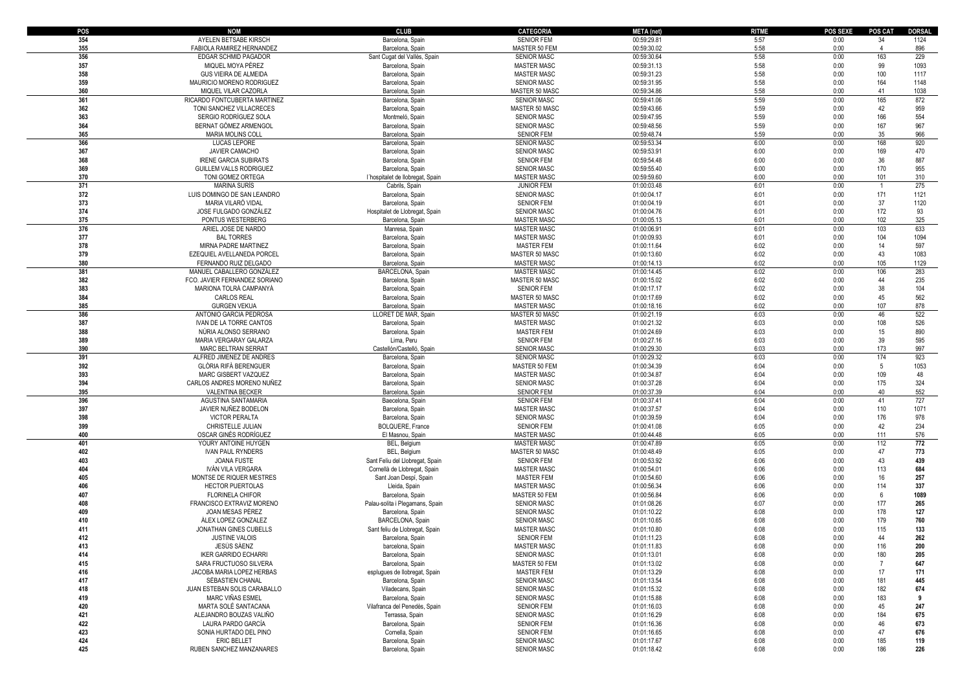| POS | <b>NOM</b>                    | <b>CLUB</b>                      | <b>CATEGORIA</b>   | <b>META</b> (net) | <b>RITME</b> | POS SEXE | <b>POS CAT</b>  | <b>DORSAL</b> |
|-----|-------------------------------|----------------------------------|--------------------|-------------------|--------------|----------|-----------------|---------------|
| 354 | AYELEN BETSABE KIRSCH         | Barcelona, Spain                 | <b>SENIOR FEM</b>  | 00:59:29.81       | 5:57         | 0:00     | 34              | 1124          |
| 355 | FABIOLA RAMIREZ HERNANDEZ     | Barcelona, Spain                 | MASTER 50 FEM      | 00:59:30.02       | 5:58         | 0:00     | $\overline{4}$  | 896           |
| 356 | EDGAR SCHMID PAGADOR          | Sant Cugat del Vallès, Spain     | <b>SENIOR MASC</b> | 00:59:30.64       | 5:58         | 0:00     | 163             | 229           |
| 357 | MIQUEL MOYA PÉREZ             | Barcelona, Spain                 | <b>MASTER MASC</b> | 00:59:31.13       | 5:58         | 0:00     | 99              | 1093          |
| 358 | GUS VIEIRA DE ALMEIDA         | Barcelona, Spain                 | <b>MASTER MASC</b> | 00:59:31.23       | 5:58         | 0:00     | 100             | 1117          |
| 359 | MAURICIO MORENO RODRIGUEZ     | Barcelona, Spain                 | <b>SENIOR MASC</b> | 00:59:31.95       | 5:58         | 0:00     | 164             | 1148          |
| 360 | MIQUEL VILAR CAZORLA          | Barcelona, Spair                 | MASTER 50 MASC     | 00:59:34.86       | 5:58         | 0:00     | 41              | 1038          |
| 361 | RICARDO FONTCUBERTA MARTINEZ  | Barcelona, Spain                 | <b>SENIOR MASC</b> | 00:59:41.06       | 5:59         | 0:00     | 165             | 872           |
| 362 | TONI SANCHEZ VILLACRECES      | Barcelona, Spain                 | MASTER 50 MASC     | 00:59:43.66       | 5:59         | 0:00     | 42              | 959           |
| 363 | SERGIO RODRÍGUEZ SOLA         | Montmeló, Spain                  | <b>SENIOR MASC</b> | 00:59:47.95       | 5:59         | 0:00     | 166             | 554           |
| 364 | BERNAT GÓMEZ ARMENGOL         | Barcelona, Spain                 | <b>SENIOR MASC</b> | 00:59:48.56       | 5:59         | 0:00     | 167             | 967           |
| 365 |                               |                                  |                    |                   | 5:59         | 0:00     | 35              | 966           |
|     | MARIA MOLINS COLL             | Barcelona, Spain                 | <b>SENIOR FEM</b>  | 00:59:48.74       |              |          |                 |               |
| 366 | LUCAS LEPORE                  | Barcelona, Spain                 | <b>SENIOR MASC</b> | 00:59:53.34       | 6:00         | 0:00     | 168             | 920           |
| 367 | JAVIER CAMACHO                | Barcelona, Spain                 | <b>SENIOR MASC</b> | 00:59:53.91       | 6:00         | 0:00     | 169             | 470           |
| 368 | <b>IRENE GARCIA SUBIRATS</b>  | Barcelona, Spain                 | <b>SENIOR FEM</b>  | 00:59:54.48       | 6:00         | 0:00     | 36              | 887           |
| 369 | GUILLEM VALLS RODRIGUEZ       | Barcelona, Spain                 | <b>SENIOR MASC</b> | 00:59:55.40       | 6:00         | 0:00     | 170             | 955           |
| 370 | TONI GOMEZ ORTEGA             | l'hospitalet de llobregat, Spain | <b>MASTER MASC</b> | 00:59:59.60       | 6:00         | 0:00     | 101             | 310           |
| 371 | <b>MARINA SURÍS</b>           | Cabrils, Spain                   | <b>JUNIOR FEM</b>  | 01:00:03.48       | 6:01         | 0:00     | $\mathbf{1}$    | 275           |
| 372 | LUIS DOMINGO DE SAN LEANDRO   | Barcelona, Spain                 | <b>SENIOR MASC</b> | 01:00:04.17       | 6:01         | 0:00     | 171             | 1121          |
| 373 | MARIA VILARÓ VIDAL            | Barcelona, Spain                 | <b>SENIOR FEM</b>  | 01:00:04.19       | 6:01         | 0:00     | 37              | 1120          |
| 374 | JOSE FULGADO GONZÁLEZ         | Hospitalet de Llobregat, Spain   | SENIOR MASC        | 01:00:04.76       | 6:01         | 0:00     | 172             | 93            |
| 375 | PONTUS WESTERBERG             | Barcelona, Spain                 | <b>MASTER MASC</b> | 01:00:05.13       | 6:01         | 0:00     | 102             | 325           |
| 376 | ARIEL JOSE DE NARDO           | Manresa, Spain                   | <b>MASTER MASC</b> | 01:00:06.91       | 6:01         | 0:00     | 103             | 633           |
| 377 | <b>BAL TORRES</b>             | Barcelona, Spain                 | <b>MASTER MASC</b> | 01:00:09.93       | 6:01         | 0:00     | 104             | 1094          |
| 378 | MIRNA PADRE MARTINEZ          | Barcelona, Spain                 | <b>MASTER FEM</b>  | 01:00:11.64       | 6:02         | 0:00     | 14              | 597           |
| 379 | EZEQUIEL AVELLANEDA PORCEL    | Barcelona, Spain                 | MASTER 50 MASC     | 01:00:13.60       | 6:02         | 0:00     | 43              | 1083          |
| 380 | FERNANDO RUIZ DELGADO         | Barcelona, Spain                 | <b>MASTER MASC</b> | 01:00:14.13       | 6:02         | 0:00     | 105             | 1129          |
| 381 | MANUEL CABALLERO GONZÁLEZ     | BARCELONA, Spain                 | MASTER MASC        | 01:00:14.45       | 6:02         | 0:00     | 106             | 283           |
| 382 | FCO. JAVIER FERNANDEZ SORIANO | Barcelona, Spain                 | MASTER 50 MASC     | 01:00:15.02       | 6:02         | 0:00     | 44              | 235           |
| 383 | MARIONA TOLRÀ CAMPANYÀ        | Barcelona, Spain                 | <b>SENIOR FEM</b>  | 01:00:17.17       | 6:02         | 0:00     | 38              | 104           |
| 384 | <b>CARLOS REAL</b>            | Barcelona, Spain                 | MASTER 50 MASC     | 01:00:17.69       | 6:02         | 0:00     | 45              | 562           |
| 385 | <b>GURGEN VEKUA</b>           | Barcelona, Spair                 | <b>MASTER MASC</b> | 01:00:18.16       | 6:02         | 0:00     | 107             | 878           |
| 386 |                               | LLORET DE MAR, Spain             |                    | 01:00:21.19       | 6:03         | 0:00     | 46              | 522           |
|     | ANTONIO GARCIA PEDROSA        |                                  | MASTER 50 MASC     |                   |              |          |                 |               |
| 387 | IVAN DE LA TORRE CANTOS       | Barcelona, Spair                 | <b>MASTER MASC</b> | 01:00:21.32       | 6:03         | 0:00     | 108             | 526           |
| 388 | NÚRIA ALONSO SERRANO          | Barcelona, Spain                 | <b>MASTER FEM</b>  | 01:00:24.69       | 6:03         | 0:00     | 15              | 890           |
| 389 | MARIA VERGARAY GALARZA        | Lima, Peru                       | <b>SENIOR FEM</b>  | 01:00:27.16       | 6:03         | 0:00     | 39              | 595           |
| 390 | MARC BELTRAN SERRAT           | Castellón/Castelló, Spain        | SENIOR MASC        | 01:00:29.30       | 6:03         | 0:00     | 173             | 997           |
| 391 | ALFRED JIMENEZ DE ANDRES      | Barcelona, Spain                 | <b>SENIOR MASC</b> | 01:00:29.32       | 6:03         | 0:00     | 174             | 923           |
| 392 | GLÒRIA RIFÀ BERENGUER         | Barcelona, Spain                 | MASTER 50 FEM      | 01:00:34.39       | 6:04         | 0:00     | $5\overline{)}$ | 1053          |
| 393 | MARC GISBERT VAZQUEZ          | Barcelona, Spain                 | <b>MASTER MASC</b> | 01:00:34.87       | 6:04         | 0:00     | 109             | 48            |
| 394 | CARLOS ANDRES MORENO NUÑEZ    | Barcelona, Spain                 | <b>SENIOR MASC</b> | 01:00:37.28       | 6:04         | 0:00     | 175             | 324           |
| 395 | VALENTINA BECKER              | Barcelona, Spain                 | <b>SENIOR FEM</b>  | 01:00:37.39       | 6:04         | 0:00     | 40              | 552           |
| 396 | AGUSTINA SANTAMARIA           | Baecelona, Spain                 | <b>SENIOR FEM</b>  | 01:00:37.41       | 6:04         | 0:00     | 41              | 727           |
| 397 | JAVIER NUÑEZ BODELON          | Barcelona, Spain                 | <b>MASTER MASC</b> | 01:00:37.57       | 6:04         | 0:00     | 110             | 1071          |
| 398 | VICTOR PERALTA                | Barcelona, Spain                 | <b>SENIOR MASC</b> | 01:00:39.59       | 6:04         | 0:00     | 176             | 978           |
| 399 | CHRISTELLE JULIAN             | <b>BOLQUERE, France</b>          | <b>SENIOR FEM</b>  | 01:00:41.08       | 6:05         | 0:00     | 42              | 234           |
| 400 | OSCAR GINÉS RODRÍGUEZ         | El Masnou, Spain                 | <b>MASTER MASC</b> | 01:00:44.48       | 6:05         | 0:00     | 111             | 576           |
| 401 | YOURY ANTOINE HUYGEN          | BEL, Belgium                     | <b>MASTER MASC</b> | 01:00:47.89       | 6:05         | 0:00     | 112             | 772           |
| 402 | <b>IVAN PAUL RYNDERS</b>      | BEL, Belgium                     | MASTER 50 MASC     | 01:00:48.49       | 6:05         | 0:00     | 47              | 773           |
| 403 | JOANA FUSTE                   | Sant Feliu del Llobregat, Spain  | <b>SENIOR FEM</b>  | 01:00:53.92       | 6:06         | 0:00     | 43              | 439           |
| 404 | IVÁN VILA VERGARA             | Cornellà de Llobregat, Spain     | <b>MASTER MASC</b> | 01:00:54.01       | 6:06         | 0:00     | 113             | 684           |
| 405 | MONTSE DE RIQUER MESTRES      | Sant Joan Despi, Spain           | <b>MASTER FEM</b>  | 01:00:54.60       | 6:06         | 0:00     | 16              | 257           |
| 406 | <b>HECTOR PUERTOLAS</b>       | Lleida, Spain                    | <b>MASTER MASC</b> | 01:00:56.34       | 6:06         | 0:00     | 114             | 337           |
| 407 | FLORINELA CHIFOR              | Barcelona, Spain                 | MASTER 50 FEM      | 01:00:56.84       | 6:06         | 0:00     | 6               | 1089          |
| 408 | FRANCISCO EXTRAVIZ MORENO     | Palau-solita i Plegamans, Spain  | SENIOR MASC        | 01:01:08.26       | 6:07         | 0:00     | 177             | 265           |
| 409 | JOAN MESAS PÉREZ              | Barcelona, Spain                 | <b>SENIOR MASC</b> | 01:01:10.22       | 6:08         | 0:00     | 178             | 127           |
| 410 | ÀLEX LOPEZ GONZALEZ           | BARCELONA, Spain                 | <b>SENIOR MASC</b> | 01:01:10.65       | 6:08         | 0:00     | 179             | 760           |
| 411 | <b>JONATHAN GINES CUBELLS</b> | Sant feliu de Llobregat, Spain   | <b>MASTER MASC</b> | 01:01:10.80       | 6:08         | 0:00     | 115             | 133           |
| 412 | <b>JUSTINE VALOIS</b>         | Barcelona, Spain                 | <b>SENIOR FEM</b>  | 01:01:11.23       | 6:08         | 0:00     | 44              | 262           |
|     |                               |                                  |                    |                   |              |          |                 |               |
| 413 | <b>JESUS SAENZ</b>            | barcelona, Spain                 | <b>MASTER MASC</b> | 01:01:11.83       | 6:08         | 0:00     | 116             | 200           |
| 414 | <b>IKER GARRIDO ECHARRI</b>   | Barcelona, Spain                 | SENIOR MASC        | 01:01:13.01       | 6:08         | 0:00     | 180             | 205           |
| 415 | SARA FRUCTUOSO SILVERA        | Barcelona, Spain                 | MASTER 50 FEM      | 01:01:13.02       | 6:08         | 0:00     | $\overline{7}$  | 647           |
| 416 | JACOBA MARIA LOPEZ HERBAS     | esplugues de llobregat, Spain    | <b>MASTER FEM</b>  | 01:01:13.29       | 6:08         | 0:00     | 17              | 171           |
| 417 | SÉBASTIEN CHANAL              | Barcelona, Spain                 | <b>SENIOR MASC</b> | 01:01:13.54       | 6:08         | 0:00     | 181             | 445           |
| 418 | JUAN ESTEBAN SOLIS CARABALLO  | Viladecans, Spain                | <b>SENIOR MASC</b> | 01:01:15.32       | 6:08         | 0:00     | 182             | 674           |
| 419 | MARC VIÑAS ESMEL              | Barcelona, Spain                 | <b>SENIOR MASC</b> | 01:01:15.88       | 6:08         | 0:00     | 183             | 9             |
| 420 | MARTA SOLÉ SANTACANA          | Vilafranca del Penedès, Spain    | <b>SENIOR FEM</b>  | 01:01:16.03       | 6:08         | 0:00     | 45              | 247           |
| 421 | ALEJANDRO BOUZAS VALIÑO       | Terrassa, Spain                  | <b>SENIOR MASC</b> | 01:01:16.29       | 6:08         | 0:00     | 184             | 675           |
| 422 | LAURA PARDO GARCÍA            | Barcelona, Spain                 | <b>SENIOR FEM</b>  | 01:01:16.36       | 6:08         | 0:00     | 46              | 673           |
| 423 | SONIA HURTADO DEL PINO        | Cornella, Spain                  | <b>SENIOR FEM</b>  | 01:01:16.65       | 6:08         | 0:00     | 47              | 676           |
| 424 | <b>ERIC BELLET</b>            | Barcelona, Spain                 | SENIOR MASC        | 01:01:17.67       | 6:08         | 0:00     | 185             | 119           |
| 425 | RUBEN SANCHEZ MANZANARES      | Barcelona, Spain                 | SENIOR MASC        | 01:01:18.42       | 6:08         | 0:00     | 186             | 226           |
|     |                               |                                  |                    |                   |              |          |                 |               |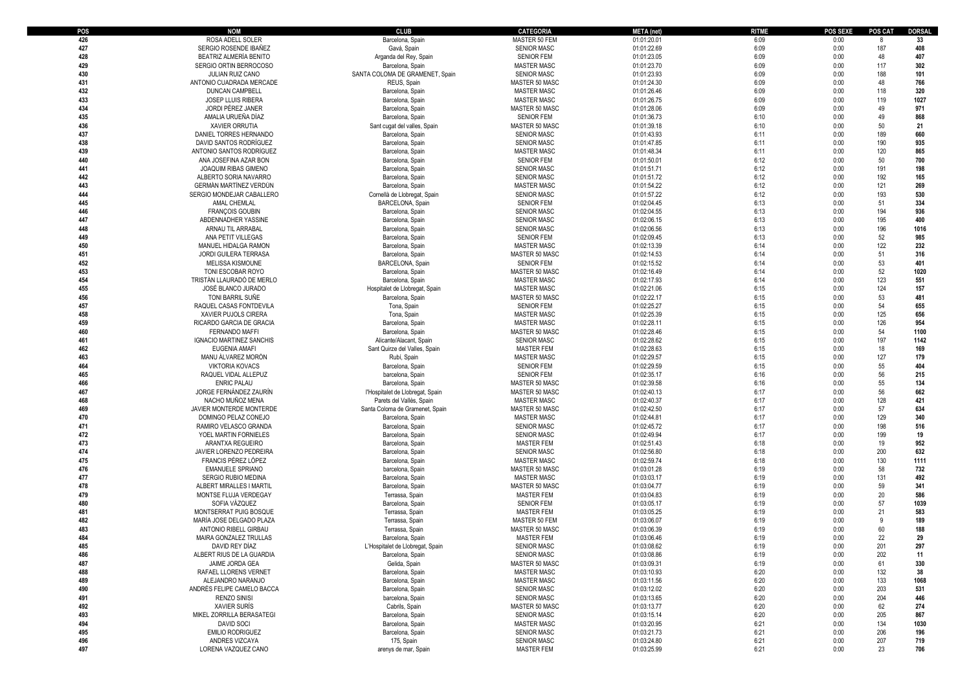| POS        | <b>NOM</b>                                      | <b>CLUB</b>                          | <b>CATEGORIA</b>                         | <b>META</b> (net)          | <b>RITME</b> | <b>POS SEXE</b> | POS CAT    | <b>DORSAL</b> |
|------------|-------------------------------------------------|--------------------------------------|------------------------------------------|----------------------------|--------------|-----------------|------------|---------------|
| 426        | ROSA ADELL SOLER                                | Barcelona, Spain                     | MASTER 50 FEM                            | 01:01:20.01                | 6:09         | 0:00            |            | 33            |
| 427        | SERGIO ROSENDE IBAÑEZ                           | Gavá, Spain                          | <b>SENIOR MASC</b>                       | 01:01:22.69                | 6:09         | 0:00            | 187        | 408           |
| 428        | BEATRIZ ALMERÍA BENITO                          | Arganda del Rey, Spain               | <b>SENIOR FEM</b>                        | 01:01:23.05                | 6:09         | 0:00            | 48         | 407           |
| 429        | SERGIO ORTIN BERROCOSO                          | Barcelona, Spain                     | <b>MASTER MASC</b>                       | 01:01:23.70                | 6:09         | 0:00            | 117        | 302           |
| 430        | JULIAN RUIZ CANO                                | SANTA COLOMA DE GRAMENET, Spain      | <b>SENIOR MASC</b>                       | 01:01:23.93                | 6:09         | 0:00            | 188        | 101           |
| 431        | ANTONIO CUADRADA MERCADE                        | REUS, Spain                          | MASTER 50 MASC                           | 01:01:24.30                | 6:09         | 0:00            | 48         | 766           |
| 432<br>433 | <b>DUNCAN CAMPBELL</b><br>JOSEP LLUIS RIBERA    | Barcelona, Spain                     | <b>MASTER MASC</b>                       | 01:01:26.46<br>01:01:26.75 | 6:09<br>6:09 | 0:00<br>0:00    | 118<br>119 | 320<br>1027   |
| 434        | JORDI PÉREZ JANER                               | Barcelona, Spain<br>Barcelona, Spain | <b>MASTER MASC</b><br>MASTER 50 MASC     | 01:01:28.06                | 6:09         | 0:00            | 49         | 971           |
| 435        | AMALIA URUEÑA DÍAZ                              | Barcelona, Spain                     | <b>SENIOR FEM</b>                        | 01:01:36.73                | 6:10         | 0:00            | 49         | 868           |
| 436        | <b>XAVIER ORRUTIA</b>                           | Sant cugat del valles, Spain         | MASTER 50 MASC                           | 01:01:39.18                | 6:10         | 0:00            | 50         | 21            |
| 437        | DANIEL TORRES HERNANDO                          | Barcelona, Spain                     | <b>SENIOR MASC</b>                       | 01:01:43.93                | 6:11         | 0:00            | 189        | 660           |
| 438        | DAVID SANTOS RODRÍGUEZ                          | Barcelona, Spain                     | <b>SENIOR MASC</b>                       | 01:01:47.85                | 6:11         | 0:00            | 190        | 935           |
| 439        | ANTONIO SANTOS RODRÍGUEZ                        | Barcelona, Spain                     | <b>MASTER MASC</b>                       | 01:01:48.34                | 6:11         | 0:00            | 120        | 865           |
| 440        | ANA JOSEFINA AZAR BON                           | Barcelona, Spain                     | <b>SENIOR FEM</b>                        | 01:01:50.01                | 6:12         | 0:00            | 50         | 700           |
| 441        | <b>JOAQUIM RIBAS GIMENO</b>                     | Barcelona, Spain                     | <b>SENIOR MASC</b>                       | 01:01:51.71                | 6:12         | 0:00            | 191        | 198           |
| 442        | ALBERTO SORIA NAVARRO                           | Barcelona, Spain                     | <b>SENIOR MASC</b>                       | 01:01:51.72                | 6:12         | 0:00            | 192        | 165           |
| 443        | <b>GERMAN MARTINEZ VERDUN</b>                   | Barcelona, Spain                     | <b>MASTER MASC</b>                       | 01:01:54.22                | 6:12         | 0:00            | 121        | 269           |
| 444        | SERGIO MONDEJAR CABALLERO                       | Cornellà de Llobregat, Spain         | <b>SENIOR MASC</b>                       | 01:01:57.22                | 6:12         | 0:00            | 193        | 530           |
| 445        | AMAL CHEMLAL                                    | BARCELONA, Spain                     | <b>SENIOR FEM</b>                        | 01:02:04.45                | 6:13         | 0:00            | 51         | 334           |
| 446        | <b>FRANÇOIS GOUBIN</b>                          | Barcelona, Spain                     | <b>SENIOR MASC</b>                       | 01:02:04.55                | 6:13         | 0:00            | 194        | 936           |
| 447        | ABDENNADHER YASSINE                             | Barcelona, Spain                     | <b>SENIOR MASC</b>                       | 01:02:06.15                | 6:13         | 0:00            | 195        | 400           |
| 448        | ARNAU TIL ARRABAL                               | Barcelona, Spain                     | <b>SENIOR MASC</b>                       | 01:02:06.56                | 6:13         | 0:00            | 196        | 1016          |
| 449<br>450 | ANA PETIT VILLEGAS<br>MANUEL HIDALGA RAMON      | Barcelona, Spain<br>Barcelona, Spain | <b>SENIOR FEM</b><br><b>MASTER MASC</b>  | 01:02:09.45<br>01:02:13.39 | 6:13<br>6:14 | 0:00<br>0:00    | 52<br>122  | 985<br>232    |
| 451        | <b>JORDI GUILERA TERRASA</b>                    | Barcelona, Spain                     | MASTER 50 MASC                           | 01:02:14.53                | 6:14         | 0:00            | 51         | 316           |
| 452        | MELISSA KISMOUNE                                | <b>BARCELONA, Spain</b>              | <b>SENIOR FEM</b>                        | 01:02:15.52                | 6:14         | 0:00            | 53         | 401           |
| 453        | TONI ESCOBAR ROYO                               | Barcelona, Spain                     | MASTER 50 MASC                           | 01:02:16.49                | 6:14         | 0:00            | 52         | 1020          |
| 454        | TRISTÁN LLAURADÓ DE MERLO                       | Barcelona, Spain                     | <b>MASTER MASC</b>                       | 01:02:17.93                | 6:14         | 0:00            | 123        | 551           |
| 455        | JOSÉ BLANCO JURADO                              | Hospitalet de Llobregat, Spain       | <b>MASTER MASC</b>                       | 01:02:21.06                | 6:15         | 0:00            | 124        | 157           |
| 456        | TONI BARRIL SUÑE                                | Barcelona, Spain                     | MASTER 50 MASC                           | 01:02:22.17                | 6:15         | 0:00            | 53         | 481           |
| 457        | RAQUEL CASAS FONTDEVILA                         | Tona, Spain                          | <b>SENIOR FEM</b>                        | 01:02:25.27                | 6:15         | 0:00            | 54         | 655           |
| 458        | XAVIER PUJOLS CIRERA                            | Tona, Spain                          | <b>MASTER MASC</b>                       | 01:02:25.39                | 6:15         | 0:00            | 125        | 656           |
| 459        | RICARDO GARCIA DE GRACIA                        | Barcelona, Spain                     | <b>MASTER MASC</b>                       | 01:02:28.11                | 6:15         | 0:00            | 126        | 954           |
| 460        | <b>FERNANDO MAFFI</b>                           | Barcelona, Spain                     | MASTER 50 MASC                           | 01:02:28.46                | 6:15         | 0:00            | 54         | 1100          |
| 461        | <b>IGNACIO MARTINEZ SANCHIS</b>                 | Alicante/Alacant, Spair              | <b>SENIOR MASC</b>                       | 01:02:28.62                | 6:15         | 0:00            | 197        | 1142          |
| 462        | EUGENIA AMAFI                                   | Sant Quirze del Valles, Spain        | <b>MASTER FEM</b>                        | 01:02:28.63                | 6:15         | 0:00            | 18         | 169           |
| 463<br>464 | MANU ALVAREZ MORÓN<br><b>VIKTORIA KOVACS</b>    | Rubí, Spain                          | <b>MASTER MASC</b><br><b>SENIOR FEM</b>  | 01:02:29.57                | 6:15<br>6:15 | 0:00<br>0:00    | 127<br>55  | 179<br>404    |
| 465        | RAQUEL VIDAL ALLEPUZ                            | Barcelona, Spain<br>barcelona, Spain | <b>SENIOR FEM</b>                        | 01:02:29.59<br>01:02:35.17 | 6:16         | 0:00            | 56         | 215           |
| 466        | <b>ENRIC PALAU</b>                              | Barcelona, Spain                     | MASTER 50 MASC                           | 01:02:39.58                | 6:16         | 0:00            | 55         | 134           |
| 467        | JORGE FERNÁNDEZ ZAURÍN                          | l'Hospitalet de Llobregat, Spain     | MASTER 50 MASC                           | 01:02:40.13                | 6:17         | 0:00            | 56         | 662           |
| 468        | NACHO MUÑOZ MENA                                | Parets del Vallès, Spair             | <b>MASTER MASC</b>                       | 01:02:40.37                | 6:17         | 0:00            | 128        | 421           |
| 469        | JAVIER MONTERDE MONTERDE                        | Santa Coloma de Gramenet, Spain      | MASTER 50 MASC                           | 01:02:42.50                | 6:17         | 0:00            | 57         | 634           |
| 470        | DOMINGO PELAZ CONEJO                            | Barcelona, Spain                     | <b>MASTER MASC</b>                       | 01:02:44.81                | 6:17         | 0:00            | 129        | 340           |
| 471        | RAMIRO VELASCO GRANDA                           | Barcelona, Spain                     | <b>SENIOR MASC</b>                       | 01:02:45.72                | 6:17         | 0:00            | 198        | 516           |
| 472        | YOEL MARTIN FORNIELES                           | Barcelona, Spain                     | <b>SENIOR MASC</b>                       | 01:02:49.94                | 6:17         | 0:00            | 199        | 19            |
| 473        | ARANTXA REGUEIRO                                | Barcelona, Spain                     | <b>MASTER FEM</b>                        | 01:02:51.43                | 6:18         | 0:00            | 19         | 952           |
| 474        | JAVIER LORENZO PEDREIRA                         | Barcelona, Spain                     | <b>SENIOR MASC</b>                       | 01:02:56.80                | 6:18         | 0:00            | 200        | 632           |
| 475<br>476 | FRANCIS PÉREZ LÓPEZ<br><b>EMANUELE SPRIANO</b>  | Barcelona, Spain                     | <b>MASTER MASC</b>                       | 01:02:59.74                | 6:18<br>6:19 | 0:00<br>0:00    | 130<br>58  | 1111<br>732   |
| 477        | SERGIO RUBIO MEDINA                             | barcelona, Spain<br>Barcelona, Spain | MASTER 50 MASC<br><b>MASTER MASC</b>     | 01:03:01.28<br>01:03:03.17 | 6:19         | 0:00            | 131        | 492           |
| 478        | ALBERT MIRALLES I MARTIL                        | Barcelona, Spain                     | MASTER 50 MASC                           | 01:03:04.77                | 6:19         | 0:00            | 59         | 341           |
| 479        | MONTSE FLUJA VERDEGAY                           | Terrassa, Spain                      | <b>MASTER FEM</b>                        | 01:03:04.83                | 6:19         | 0:00            | 20         | 586           |
| 480        | SOFIA VÁZQUEZ                                   | Barcelona, Spain                     | <b>SENIOR FEM</b>                        | 01:03:05.17                | 6:19         | 0:00            | 57         | 1039          |
| 481        | MONTSERRAT PUIG BOSQUE                          | Terrassa, Spain                      | <b>MASTER FEM</b>                        | 01:03:05.25                | 6:19         | 0:00            | 21         | 583           |
| 482        | MARÍA JOSE DELGADO PLAZA                        | Terrassa, Spain                      | MASTER 50 FEM                            | 01:03:06.07                | 6:19         | 0:00            | 9          | 189           |
| 483        | ANTONIO RIBELL GIRBAU                           | Terrassa, Spain                      | MASTER 50 MASC                           | 01:03:06.39                | 6:19         | 0:00            | 60         | 188           |
| 484        | MAIRA GONZALEZ TRULLAS                          | Barcelona, Spain                     | <b>MASTER FEM</b>                        | 01:03:06.46                | 6:19         | 0:00            | 22         | 29            |
| 485        | DAVID REY DÍAZ                                  | L'Hospitalet de Llobregat, Spain     | <b>SENIOR MASC</b>                       | 01:03:08.62                | 6:19         | 0:00            | 201        | 297           |
| 486        | ALBERT RIUS DE LA GUARDIA                       | Barcelona, Spain                     | <b>SENIOR MASC</b>                       | 01:03:08.86                | 6:19         | 0:00            | 202        | 11            |
| 487        | JAIME JORDA GEA                                 | Gelida, Spain                        | MASTER 50 MASC                           | 01:03:09.31                | 6:19         | 0:00            | 61         | 330           |
| 488        | RAFAEL LLORENS VERNET                           | Barcelona, Spain                     | <b>MASTER MASC</b>                       | 01:03:10.93                | 6:20         | 0:00            | 132        | 38            |
| 489<br>490 | ALEJANDRO NARANJO<br>ANDRÉS FELIPE CAMELO BACCA | Barcelona, Spain                     | <b>MASTER MASC</b><br><b>SENIOR MASC</b> | 01:03:11.56                | 6:20         | 0:00            | 133<br>203 | 1068<br>531   |
| 491        | <b>RENZO SINISI</b>                             | Barcelona, Spain<br>barcelona, Spain | <b>SENIOR MASC</b>                       | 01:03:12.02<br>01:03:13.65 | 6:20<br>6:20 | 0:00<br>0:00    | 204        | 446           |
| 492        | <b>XAVIER SURIS</b>                             | Cabrils, Spain                       | MASTER 50 MASC                           | 01:03:13.77                | 6:20         | 0:00            | 62         | 274           |
| 493        | MIKEL ZORRILLA BERASATEGI                       | Barcelona, Spain                     | <b>SENIOR MASC</b>                       | 01:03:15.14                | 6:20         | 0:00            | 205        | 867           |
| 494        | <b>DAVID SOCI</b>                               | Barcelona, Spain                     | <b>MASTER MASC</b>                       | 01:03:20.95                | 6:21         | 0:00            | 134        | 1030          |
| 495        | <b>EMILIO RODRIGUEZ</b>                         | Barcelona, Spain                     | <b>SENIOR MASC</b>                       | 01:03:21.73                | 6:21         | 0:00            | 206        | 196           |
| 496        | ANDRES VIZCAYA                                  | 175, Spain                           | <b>SENIOR MASC</b>                       | 01:03:24.80                | 6:21         | 0:00            | 207        | 719           |
| 497        | LORENA VAZQUEZ CANO                             | arenys de mar, Spain                 | <b>MASTER FEM</b>                        | 01:03:25.99                | 6:21         | 0:00            | 23         | 706           |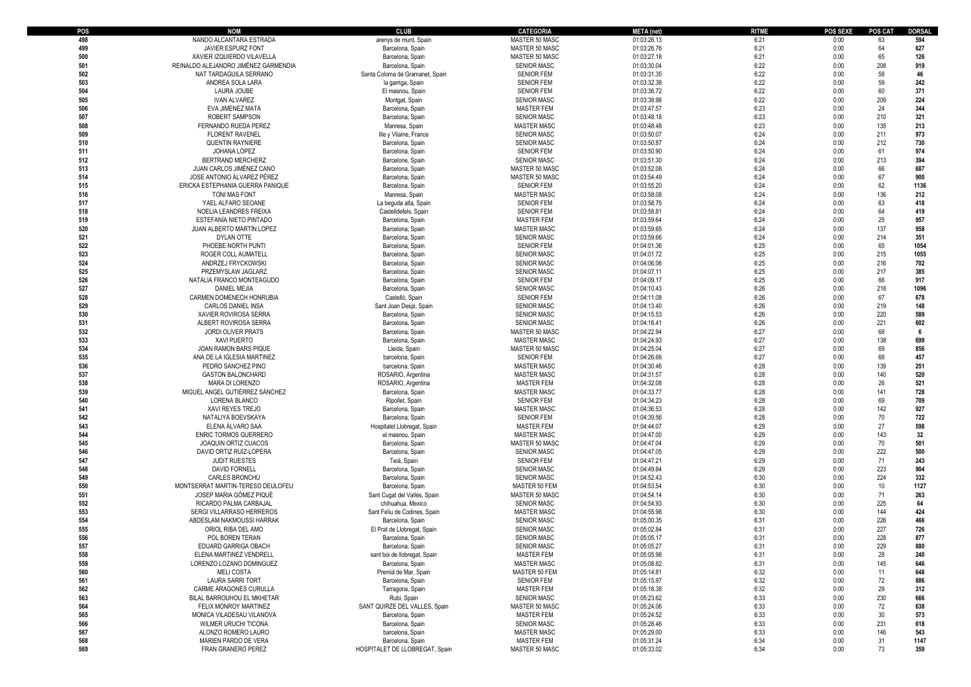| POS | <b>NOM</b>                                                   | <b>CLUB</b>                          | <b>CATEGORIA</b>                         | <b>META</b> (net)          | <b>RITME</b> | <b>POS SEXE</b> | <b>POS CAT</b> | <b>DORSAL</b> |
|-----|--------------------------------------------------------------|--------------------------------------|------------------------------------------|----------------------------|--------------|-----------------|----------------|---------------|
| 498 | NANDO ALCANTARA ESTRADA                                      | arenys de munt. Spain                | MASTER 50 MASC                           | 01:03:26.13                | 6:21         | 0:00            | 63             | 594           |
| 499 | <b>JAVIER ESPURZ FONT</b>                                    | Barcelona, Spain                     | MASTER 50 MASC                           | 01:03:26.76                | 6:21         | 0:00            | 64             | 627           |
| 500 | XAVIER IZQUIERDO VILAVELLA                                   | Barcelona, Spain                     | MASTER 50 MASC                           | 01:03:27.18                | 6:21         | 0:00            | 65             | 126           |
| 501 | REINALDO ALEJANDRO JIMÉNEZ GARMENDIA                         | Barcelona, Spain                     | <b>SENIOR MASC</b>                       | 01:03:30.04                | 6:22         | 0:00            | 208            | 919           |
| 502 | NAT TARDAGUILA SERRANO                                       | Santa Coloma de Gramanet, Spain      | <b>SENIOR FEM</b>                        | 01:03:31.35                | 6:22         | 0:00            | 58             | 46            |
| 503 | ANDREA SOLA LARA                                             | la garriga, Spain                    | <b>SENIOR FEM</b>                        | 01:03:32.38                | 6:22         | 0:00            | 59             | 242           |
| 504 | LAURA JOUBE                                                  | El masnou, Spain                     | <b>SENIOR FEM</b>                        | 01:03:36.72                | 6:22         | 0:00            | 60             | 371           |
| 505 | <b>IVAN ALVAREZ</b>                                          | Montgat, Spain                       | <b>SENIOR MASC</b>                       | 01:03:38.98                | 6:22         | 0:00            | 209            | 224           |
| 506 | EVA JIMENEZ MATA                                             | Barcelona, Spain                     | <b>MASTER FEM</b>                        | 01:03:47.57                | 6:23         | 0:00            | 24             | 344           |
| 507 | ROBERT SAMPSON                                               | Barcelona, Spain                     | <b>SENIOR MASC</b>                       | 01:03:48.18                | 6:23         | 0:00            | 210            | 321           |
| 508 | FERNANDO RUEDA PEREZ                                         | Manresa, Spain                       | <b>MASTER MASC</b>                       | 01:03:48.48                | 6:23         | 0:00            | 135            | 213           |
| 509 | <b>FLORENT RAVENEL</b>                                       | Ille y Vilaine, France               | <b>SENIOR MASC</b>                       | 01:03:50.07                | 6:24         | 0:00            | 211            | 973           |
| 510 | <b>QUENTIN RAYNIERE</b>                                      | Barcelona, Spain                     | <b>SENIOR MASC</b>                       | 01:03:50.87                | 6:24         | 0:00            | 212            | 730           |
| 511 | JOHANA LÓPEZ                                                 | Barcelona, Spain                     | <b>SENIOR FEM</b>                        | 01:03:50.90                | 6:24         | 0:00            | 61             | 974           |
| 512 | BERTRAND MERCHERZ                                            | Barcelone, Spain                     | <b>SENIOR MASC</b>                       | 01:03:51.30                | 6:24         | 0:00            | 213            | 394           |
| 513 | JUAN CARLOS JIMÉNEZ CANO                                     | Barcelona, Spain                     | MASTER 50 MASC                           | 01:03:52.08                | 6:24         | 0:00            | 66             | 687           |
| 514 | JOSE ANTONIO ÁLVAREZ PÉREZ                                   | Barcelona, Spain                     | MASTER 50 MASC                           | 01:03:54.49                | 6:24         | 0:00            | 67             | 900           |
| 515 |                                                              |                                      |                                          |                            | 6:24         | 0:00            | 62             | 1136          |
| 516 | ERICKA ESTEPHANIA GUERRA PANIQUE                             | Barcelona, Spain                     | <b>SENIOR FEM</b>                        | 01:03:55.20<br>01:03:58.08 | 6:24         | 0:00            | 136            | 212           |
|     | TONI MAS FONT                                                | Manresa, Spain                       | <b>MASTER MASC</b>                       |                            |              |                 |                |               |
| 517 | YAEL ALFARO SEOANE                                           | La beguda alta, Spain                | <b>SENIOR FEM</b>                        | 01:03:58.75                | 6:24         | 0:00            | 63             | 418           |
| 518 | NOELIA LEANDRES FREIXA                                       | Castelldefels, Spair                 | <b>SENIOR FEM</b>                        | 01:03:58.81                | 6:24         | 0:00            | 64             | 419           |
| 519 | ESTEFANÍA NIETO PINTADO                                      | Barcelona, Spain                     | <b>MASTER FEM</b>                        | 01:03:59.64                | 6:24         | 0:00            | 25             | 957           |
| 520 | JUAN ALBERTO MARTÍN LOPEZ                                    | Barcelona, Spain                     | <b>MASTER MASC</b>                       | 01:03:59.65                | 6:24         | 0:00            | 137            | 958           |
| 521 | DYLAN OTTE                                                   | Barcelona, Spain                     | <b>SENIOR MASC</b>                       | 01:03:59.66                | 6:24         | 0:00            | 214            | 351           |
| 522 | PHOEBE NORTH PUNTI                                           | Barcelona, Spain                     | <b>SENIOR FEM</b>                        | 01:04:01.36                | 6:25         | 0:00            | 65             | 1054          |
| 523 | ROGER COLL AUMATELI                                          | Barcelona, Spain                     | <b>SENIOR MASC</b>                       | 01:04:01.72                | 6:25         | 0:00            | 215            | 1055          |
| 524 | ANDRZEJ FRYCKOWSKI                                           | Barcelona, Spair                     | <b>SENIOR MASC</b>                       | 01:04:06.06                | 6:25         | 0:00            | 216            | 702           |
| 525 | PRZEMYSLAW JAGLARZ                                           | Barcelona, Spain                     | <b>SENIOR MASC</b>                       | 01:04:07.11                | 6:25         | 0:00            | 217            | 385           |
| 526 | NATÁLIA FRANCO MONTEAGUDO                                    | Barcelona, Spain                     | <b>SENIOR FEM</b>                        | 01:04:09.17                | 6:25         | 0:00            | 66             | 917           |
| 527 | DANIEL MEJIA                                                 | Barcelona, Spain                     | <b>SENIOR MASC</b>                       | 01:04:10.43                | 6:26         | 0:00            | 218            | 1096          |
| 528 | CARMEN DOMENECH HONRUBIA                                     | Castelló, Spair                      | <b>SENIOR FEM</b>                        | 01:04:11.08                | 6:26         | 0:00            | 67             | 678           |
| 529 | CARLOS DANIEL INSA                                           | Sant Joan Despi, Spain               | <b>SENIOR MASC</b>                       | 01:04:13.40                | 6:26         | 0:00            | 219            | 148           |
| 530 | XAVIER ROVIROSA SERRA                                        | Barcelona, Spain                     | <b>SENIOR MASC</b>                       | 01:04:15.53                | 6:26         | 0:00            | 220            | 589           |
| 531 | ALBERT ROVIROSA SERRA                                        | Barcelona, Spain                     | <b>SENIOR MASC</b>                       | 01:04:16.41                | 6:26         | 0:00            | 221            | 602           |
| 532 | <b>JORDI OLIVER PRATS</b>                                    | Barcelona, Spain                     | MASTER 50 MASC                           | 01:04:22.94                | 6:27         | 0:00            | 68             | 6             |
| 533 | <b>XAVI PUERTO</b>                                           | Barcelona, Spain                     | <b>MASTER MASC</b>                       | 01:04:24.93                | 6:27         | 0:00            | 138            | 699           |
| 534 | JOAN RAMON BARS PIQUE                                        | Lleida, Spain                        | MASTER 50 MASC                           | 01:04:25.04                | 6:27         | 0:00            | 69             | 856           |
| 535 | ANA DE LA IGLESIA MARTINEZ                                   | barcelona, Spain                     | <b>SENIOR FEM</b>                        | 01:04:26.66                | 6:27         | 0:00            | 68             | 457           |
| 536 | PEDRO SANCHEZ PINO                                           | barcelona, Spain                     | <b>MASTER MASC</b>                       | 01:04:30.46                | 6:28         | 0:00            | 139            | 251           |
| 537 | <b>GASTON BALONCHARD</b>                                     | ROSARIO, Argentina                   | <b>MASTER MASC</b>                       | 01:04:31.57                | 6:28         | 0:00            | 140            | 520           |
| 538 | MARA DI LORENZO                                              | ROSARIO, Argentina                   | <b>MASTER FEM</b>                        | 01:04:32.08                | 6:28         | 0:00            | 26             | 521           |
| 539 | MIGUEL ANGEL GUTIÉRREZ SÁNCHEZ                               | Barcelona, Spain                     | <b>MASTER MASC</b>                       | 01:04:33.77                | 6:28         | 0:00            | 141            | 728           |
| 540 | LORENA BLANCO                                                | Ripollet, Spain                      | <b>SENIOR FEM</b>                        | 01:04:34.23                | 6:28         | 0:00            | 69             | 709           |
| 541 | XAVI REYES TREJO                                             | Barcelona, Spain                     | <b>MASTER MASC</b>                       | 01:04:36.53                | 6:28         | 0:00            | 142            | 927           |
| 542 | NATALIYA BOEVSKAYA                                           | Barcelona, Spain                     | <b>SENIOR FEM</b>                        | 01:04:39.56                | 6:28         | 0:00            | 70             | 722           |
| 543 | ELENA ÁLVARO SAA                                             | Hospitalet Llobregat, Spain          | <b>MASTER FEM</b>                        | 01:04:44.07                | 6:29         | 0:00            | 27             | 598           |
| 544 | <b>ENRIC TORMOS GUERRERO</b>                                 | el masnou, Spain                     | <b>MASTER MASC</b>                       | 01:04:47.00                | 6:29         | 0:00            | 143            | 32            |
| 545 | JOAQUIN ORTIZ CUACOS                                         | Barcelona, Spair                     |                                          | 01:04:47.04                | 6:29         | 0:00            | 70             | 501           |
| 546 |                                                              |                                      | MASTER 50 MASC                           |                            |              |                 |                |               |
| 547 | DAVID ORTIZ RUÍZ-LOPERA                                      | Barcelona, Spain                     | <b>SENIOR MASC</b>                       | 01:04:47.05                | 6:29         | 0:00            | 222            | 500<br>243    |
| 548 | <b>JUDIT RUESTES</b>                                         | Teià, Spain                          | <b>SENIOR FEM</b>                        | 01:04:47.21                | 6:29         | 0:00            | 71             |               |
| 549 | <b>DAVID FORNELL</b><br>CARLES BRONCHU                       | Barcelona, Spair<br>Barcelona, Spair | <b>SENIOR MASC</b><br><b>SENIOR MASC</b> | 01:04:49.84                | 6:29<br>6:30 | 0:00<br>0:00    | 223<br>224     | 904<br>332    |
| 550 |                                                              |                                      |                                          | 01:04:52.43                | 6:30         | 0:00            | $10$           | 1127          |
| 551 | MONTSERRAT MARTIN-TERESO DEULOFEU<br>JOSEP MARIA GÓMEZ PIQUÉ | Barcelona, Spain                     | MASTER 50 FEM<br>MASTER 50 MASC          | 01:04:53.54                | 6:30         | 0:00            | 71             | 263           |
| 552 |                                                              | Sant Cugat del Vallès, Spair         |                                          | 01:04:54.14                | 6:30         | 0:00            | 225            | 64            |
|     | RICARDO PALMA CARBAJAL                                       | chihuahua, Mexico                    | <b>SENIOR MASC</b>                       | 01:04:54.93                |              |                 |                |               |
| 553 | SERGI VILLARRASO HERREROS                                    | Sant Feliu de Codines, Spair         | <b>MASTER MASC</b>                       | 01:04:55.98                | 6:30         | 0:00            | 144            | 424           |
| 554 | ABDESLAM NAKMOUSSI HARRAK                                    | Barcelona, Spain                     | <b>SENIOR MASC</b>                       | 01:05:00.35                | 6:31         | 0:00            | 226            | 466           |
| 555 | ORIOL RIBA DEL AMO                                           | El Prat de Llobregat, Spain          | <b>SENIOR MASC</b>                       | 01:05:02.84                | 6:31         | 0:00            | 227            | 726           |
| 556 | POL BOREN TERAN                                              | Barcelona, Spain                     | <b>SENIOR MASC</b>                       | 01:05:05.17                | 6:31         | 0:00            | 228            | 877           |
| 557 | EDUARD GARRIGA OBACH                                         | Barcelona, Spain                     | <b>SENIOR MASC</b>                       | 01:05:05.27                | 6:31         | 0:00            | 229            | 880           |
| 558 | ELENA MARTINEZ VENDRELL                                      | sant boi de llobregat, Spain         | <b>MASTER FEM</b>                        | 01:05:05.98                | 6:31         | 0:00            | 28             | 240           |
| 559 | LORENZO LOZANO DOMINGUEZ                                     | Barcelona, Spain                     | <b>MASTER MASC</b>                       | 01:05:08.82                | 6:31         | 0:00            | 145            | 646           |
| 560 | <b>MELI COSTA</b>                                            | Premià de Mar. Spain                 | MASTER 50 FEM                            | 01:05:14.81                | 6:32         | 0:00            | 11             | 648           |
| 561 | <b>LAURA SARRI TORT</b>                                      | Barcelona, Spain                     | <b>SENIOR FEM</b>                        | 01:05:15.97                | 6:32         | 0:00            | 72             | 886           |
| 562 | CARME ARAGONÈS CURULLA                                       | Tarragona, Spain                     | <b>MASTER FEM</b>                        | 01:05:18.38                | 6:32         | 0:00            | 29             | 312           |
| 563 | BILAL BARROUHOU EL MKHETAR                                   | Rubi, Spain                          | <b>SENIOR MASC</b>                       | 01:05:23.62                | 6:33         | 0:00            | 230            | 666           |
| 564 | FELIX MONROY MARTINEZ                                        | SANT QUIRZE DEL VALLES, Spain        | MASTER 50 MASC                           | 01:05:24.06                | 6:33         | 0:00            | 72             | 638           |
| 565 | MONICA VILADESAU VILANOVA                                    | Barcelona, Spain                     | <b>MASTER FEM</b>                        | 01:05:24.52                | 6:33         | 0:00            | 30             | 573           |
| 566 | WILMER URUCHI TICONA                                         | Barcelona, Spain                     | <b>SENIOR MASC</b>                       | 01:05:28.46                | 6:33         | 0:00            | 231            | 618           |
| 567 | ALONZO ROMERO LAURO                                          | barcelona, Spain                     | <b>MASTER MASC</b>                       | 01:05:29.00                | 6:33         | 0:00            | 146            | 543           |
| 568 | MARIEN PARDO DE VERA                                         | Barcelona, Spain                     | <b>MASTER FEM</b>                        | 01:05:31.24                | 6:34         | 0:00            | 31             | 1147          |
| 569 | FRAN GRANERO PEREZ                                           | HOSPITALET DE LLOBREGAT, Spain       | MASTER 50 MASC                           | 01:05:33.02                | 6:34         | 0:00            | 73             | 359           |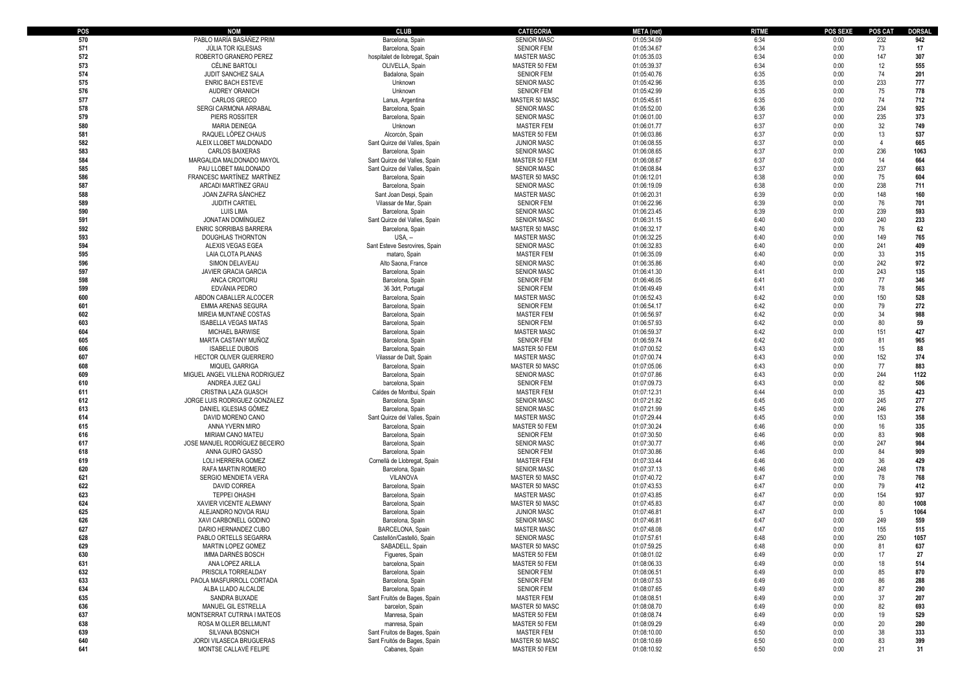| POS | <b>NOM</b>                     | <b>CLUB</b>                    | <b>CATEGORIA</b>   | <b>META</b> (net) | <b>RITME</b> | <b>POS SEXE</b> | <b>POS CAT</b> | <b>DORSAL</b> |
|-----|--------------------------------|--------------------------------|--------------------|-------------------|--------------|-----------------|----------------|---------------|
| 570 | PABLO MARÍA BASÁÑEZ PRIM       | Barcelona, Spain               | <b>SENIOR MASC</b> | 01:05:34.09       | 6:34         | 0:00            | 232            | 942           |
| 571 | <b>JÚLIA TOR IGLESIAS</b>      | Barcelona, Spain               | <b>SENIOR FEM</b>  | 01:05:34.67       | 6:34         | 0:00            | 73             | 17            |
| 572 | ROBERTO GRANERO PEREZ          | hospitalet de llobregat, Spain | <b>MASTER MASC</b> | 01:05:35.03       | 6:34         | 0:00            | 147            | 307           |
| 573 | CÉLINE BARTOLI                 | OLIVELLA, Spain                | MASTER 50 FEM      | 01:05:39.37       | 6:34         | 0:00            | 12             | 555           |
| 574 | JUDIT SANCHEZ SALA             | Badalona, Spain                | <b>SENIOR FEM</b>  | 01:05:40.76       | 6:35         | 0:00            | 74             | 201           |
| 575 | <b>ENRIC BACH ESTEVE</b>       | Unknown                        | <b>SENIOR MASC</b> | 01:05:42.96       | 6:35         | 0:00            | 233            | 777           |
| 576 | AUDREY ORANICH                 | Unknown                        | <b>SENIOR FEM</b>  | 01:05:42.99       | 6:35         | 0:00            | 75             | 778           |
| 577 | CARLOS GRECO                   | Lanus, Argentina               | MASTER 50 MASC     | 01:05:45.61       | 6:35         | 0:00            | 74             | 712           |
| 578 | SERGI CARMONA ARRABAL          | Barcelona, Spain               | <b>SENIOR MASC</b> | 01:05:52.00       | 6:36         | 0:00            | 234            | 925           |
| 579 | PIERS ROSSITER                 | Barcelona, Spain               | <b>SENIOR MASC</b> | 01:06:01.00       | 6:37         | 0:00            | 235            | 373           |
| 580 | <b>MARIA DEINEGA</b>           | Unknown                        | <b>MASTER FEM</b>  | 01:06:01.77       | 6:37         | 0:00            | 32             | 749           |
| 581 | RAQUEL LÓPEZ CHAUS             | Alcorcón, Spain                | MASTER 50 FEM      | 01:06:03.86       | 6:37         | 0:00            | 13             | 537           |
| 582 | ALEIX LLOBET MALDONADO         | Sant Quirze del Valles, Spair  | <b>JUNIOR MASC</b> | 01:06:08.55       | 6:37         | 0:00            | $\Delta$       | 665           |
| 583 | <b>CARLOS BAIXERAS</b>         | Barcelona, Spain               | <b>SENIOR MASC</b> | 01:06:08.65       | 6:37         | 0:00            | 236            | 1063          |
| 584 | MARGALIDA MALDONADO MAYOL      | Sant Quirze del Valles, Spair  | MASTER 50 FEM      | 01:06:08.67       | 6:37         | 0:00            | 14             | 664           |
| 585 | PAU LLOBET MALDONADO           | Sant Quirze del Valles, Spair  |                    |                   | 6:37         | 0:00            | 237            | 663           |
| 586 | FRANCESC MARTÍNEZ MARTÍNEZ     |                                | <b>SENIOR MASC</b> | 01:06:08.84       | 6:38         | 0:00            | 75             | 604           |
| 587 |                                | Barcelona, Spain               | MASTER 50 MASC     | 01:06:12.01       | 6:38         |                 | 238            |               |
|     | ARCADI MARTÍNEZ GRAU           | Barcelona, Spain               | <b>SENIOR MASC</b> | 01:06:19.09       |              | 0:00            |                | 711           |
| 588 | JOAN ZAFRA SÁNCHEZ             | Sant Joan Despi, Spain         | <b>MASTER MASC</b> | 01:06:20.31       | 6:39         | 0:00            | 148            | 160           |
| 589 | JUDITH CARTIEL                 | Vilassar de Mar, Spain         | <b>SENIOR FEM</b>  | 01:06:22.96       | 6:39         | 0:00            | 76             | 701           |
| 590 | <b>LUIS LIMA</b>               | Barcelona, Spain               | <b>SENIOR MASC</b> | 01:06:23.45       | 6:39         | 0:00            | 239            | 593           |
| 591 | JONATAN DOMÍNGUEZ              | Sant Quirze del Valles, Spair  | <b>SENIOR MASC</b> | 01:06:31.15       | 6:40         | 0:00            | 240            | 233           |
| 592 | ENRIC SORRIBAS BARRERA         | Barcelona, Spain               | MASTER 50 MASC     | 01:06:32.17       | 6:40         | 0:00            | 76             | 62            |
| 593 | DOUGHLAS THORNTON              | USA, -                         | <b>MASTER MASC</b> | 01:06:32.25       | 6:40         | 0:00            | 149            | 765           |
| 594 | ALEXIS VEGAS EGEA              | Sant Esteve Sesrovires, Spain  | <b>SENIOR MASC</b> | 01:06:32.83       | 6:40         | 0:00            | 241            | 409           |
| 595 | LAIA CLOTA PLANAS              | mataro, Spain                  | <b>MASTER FEM</b>  | 01:06:35.09       | 6:40         | 0:00            | 33             | 315           |
| 596 | SIMON DELAVEAU                 | Alto Saona, France             | <b>SENIOR MASC</b> | 01:06:35.86       | 6:40         | 0:00            | 242            | 972           |
| 597 | <b>JAVIER GRACIA GARCIA</b>    | Barcelona, Spain               | <b>SENIOR MASC</b> | 01:06:41.30       | 6:41         | 0:00            | 243            | 135           |
| 598 | ANCA CROITORU                  | Barcelona, Spain               | <b>SENIOR FEM</b>  | 01:06:46.05       | 6:41         | 0:00            | 77             | 346           |
| 599 | EDVÂNIA PEDRO                  | 36 3drt, Portugal              | <b>SENIOR FEM</b>  | 01:06:49.49       | 6:41         | 0:00            | 78             | 565           |
| 600 | ABDON CABALLER ALCOCER         | Barcelona, Spain               | <b>MASTER MASC</b> | 01:06:52.43       | 6:42         | 0:00            | 150            | 528           |
| 601 | <b>EMMA ARENAS SEGURA</b>      | Barcelona, Spain               | <b>SENIOR FEM</b>  | 01:06:54.17       | 6:42         | 0:00            | 79             | 272           |
| 602 | MIREIA MUNTANÉ COSTAS          | Barcelona, Spain               | <b>MASTER FEM</b>  | 01:06:56.97       | 6:42         | 0:00            | 34             | 988           |
| 603 | <b>ISABELLA VEGAS MATAS</b>    | Barcelona, Spain               | <b>SENIOR FEM</b>  | 01:06:57.93       | 6:42         | 0:00            | 80             | 59            |
| 604 | <b>MICHAEL BARWISE</b>         | Barcelona, Spain               | <b>MASTER MASC</b> | 01:06:59.37       | 6:42         | 0:00            | 151            | 427           |
| 605 | MARTA CASTANY MUÑOZ            | Barcelona, Spain               | <b>SENIOR FEM</b>  | 01:06:59.74       | 6:42         | 0:00            | 81             | 965           |
| 606 | <b>ISABELLE DUBOIS</b>         | Barcelona, Spain               | MASTER 50 FEM      | 01:07:00.52       | 6:43         | 0:00            | 15             | 88            |
| 607 | HECTOR OLIVER GUERRERO         | Vilassar de Dalt, Spain        | <b>MASTER MASC</b> | 01:07:00.74       | 6:43         | 0:00            | 152            | 374           |
| 608 | MIQUEL GARRIGA                 | Barcelona, Spain               | MASTER 50 MASC     | 01:07:05.06       | 6:43         | 0:00            | 77             | 883           |
| 609 | MIGUEL ANGEL VILLENA RODRIGUEZ | Barcelona, Spain               | <b>SENIOR MASC</b> | 01:07:07.86       | 6:43         | 0:00            | 244            | 1122          |
| 610 | ANDREA JUEZ GALÍ               | barcelona, Spain               | <b>SENIOR FEM</b>  | 01:07:09.73       | 6:43         | 0:00            | 82             | 506           |
| 611 | CRISTINA LAZA GUASCH           | Caldes de Montbui, Spain       | <b>MASTER FEM</b>  | 01:07:12.31       | 6:44         | 0:00            | 35             | 423           |
| 612 | JORGE LUIS RODRIGUEZ GONZALEZ  | Barcelona, Spain               | <b>SENIOR MASC</b> | 01:07:21.82       | 6:45         | 0:00            | 245            | 277           |
| 613 | DANIEL IGLESIAS GÓMEZ          | Barcelona, Spain               | <b>SENIOR MASC</b> | 01:07:21.99       | 6:45         | 0:00            | 246            | 276           |
| 614 | DAVID MORENO CANO              | Sant Quirze del Valles, Spain  | <b>MASTER MASC</b> | 01:07:29.44       | 6:45         | 0:00            | 153            | 358           |
| 615 | ANNA YVERN MIRO                | Barcelona, Spain               | MASTER 50 FEM      | 01:07:30.24       | 6:46         | 0:00            | 16             | 335           |
| 616 | MIRIAM CANO MATEU              | Barcelona, Spain               | <b>SENIOR FEM</b>  | 01:07:30.50       | 6:46         | 0:00            | 83             | 908           |
|     |                                |                                |                    |                   | 6:46         |                 | 247            |               |
| 617 | JOSE MANUEL RODRÍGUEZ BECEIRO  | Barcelona, Spain               | <b>SENIOR MASC</b> | 01:07:30.77       |              | 0:00            |                | 984           |
| 618 | ANNA GUIRÓ GASSÓ               | Barcelona, Spain               | <b>SENIOR FEM</b>  | 01:07:30.86       | 6:46         | 0:00            | 84             | 909           |
| 619 | LOLI HERRERA GOMEZ             | Cornellà de Llobregat, Spain   | <b>MASTER FEM</b>  | 01:07:33.44       | 6:46         | 0:00            | 36             | 429           |
| 620 | RAFA MARTIN ROMERO             | Barcelona, Spair               | <b>SENIOR MASC</b> | 01:07:37.13       | 6:46         | 0:00            | 248            | 178           |
| 621 | SERGIO MENDIETA VERA           | VILANOVA                       | MASTER 50 MASC     | 01:07:40.72       | 6:47         | 0:00            | 78             | 768           |
| 622 | <b>DAVID CORREA</b>            | Barcelona, Spain               | MASTER 50 MASC     | 01:07:43.53       | 6:47         | 0:00            | 79             | 412           |
| 623 | <b>TEPPEI OHASHI</b>           | Barcelona, Spain               | <b>MASTER MASC</b> | 01:07:43.85       | 6:47         | 0:00            | 154            | 937           |
| 624 | XAVIER VICENTE ALEMANY         | Barcelona, Spain               | MASTER 50 MASC     | 01:07:45.83       | 6:47         | 0:00            | 80             | 1008          |
| 625 | ALEJANDRO NOVOA RIAU           | Barcelona, Spain               | <b>JUNIOR MASC</b> | 01:07:46.81       | 6:47         | 0:00            | 5              | 1064          |
| 626 | XAVI CARBONELL GODINO          | Barcelona, Spain               | <b>SENIOR MASC</b> | 01:07:46.81       | 6:47         | 0:00            | 249            | 559           |
| 627 | DARIO HERNANDEZ CUBO           | <b>BARCELONA, Spair</b>        | <b>MASTER MASC</b> | 01:07:48.08       | 6:47         | 0:00            | 155            | 515           |
| 628 | PABLO ORTELLS SEGARRA          | Castellón/Castelló, Spain      | <b>SENIOR MASC</b> | 01:07:57.61       | 6:48         | 0:00            | 250            | 1057          |
|     | <b>MARTIN LOPEZ GOMEZ</b>      | SABADELL, Spain                | MASTER 50 MASC     | 01:07:59.25       | 6:48         | 0:00            | 81             | 637           |
| 630 | IMMA DARNÉS BOSCH              | Figueres, Spain                | MASTER 50 FEM      | 01:08:01.02       | 6:49         | 0:00            | 17             | 27            |
| 631 | ANA LOPEZ ARILLA               | barcelona, Spain               | MASTER 50 FEM      | 01:08:06.33       | 6:49         | 0:00            | 18             | 514           |
| 632 | PRISCILA TORREALDAY            | Barcelona, Spain               | <b>SENIOR FEM</b>  | 01:08:06.51       | 6:49         | 0:00            | 85             | 870           |
| 633 | PAOLA MASFURROLL CORTADA       | Barcelona, Spain               | <b>SENIOR FEM</b>  | 01:08:07.53       | 6:49         | 0:00            | 86             | 288           |
| 634 | ALBA LLADO ALCALDE             | Barcelona, Spain               | <b>SENIOR FEM</b>  | 01:08:07.65       | 6:49         | 0:00            | 87             | 290           |
| 635 | SANDRA BUXADE                  | Sant Fruitós de Bages, Spain   | <b>MASTER FEM</b>  | 01:08:08.51       | 6:49         | 0:00            | 37             | 207           |
| 636 | MANUEL GIL ESTRELLA            | barcelon, Spain                | MASTER 50 MASC     | 01:08:08.70       | 6:49         | 0:00            | 82             | 693           |
| 637 | MONTSERRAT CUTRINA I MATEOS    | Manresa, Spain                 | MASTER 50 FEM      | 01:08:08.74       | 6:49         | 0:00            | 19             | 529           |
| 638 | ROSA M OLLER BELLMUNT          | manresa, Spain                 | MASTER 50 FEM      | 01:08:09.29       | 6:49         | 0:00            | 20             | 280           |
| 639 | SILVANA BOSNICH                | Sant Fruitos de Bages, Spain   | <b>MASTER FEM</b>  | 01:08:10.00       | 6:50         | 0:00            | 38             | 333           |
| 640 | JORDI VILASECA BRUGUERAS       | Sant Fruitós de Bages, Spain   | MASTER 50 MASC     | 01:08:10.69       | 6:50         | 0:00            | 83             | 399           |
| 641 | MONTSE CALLAVÉ FELIPE          | Cabanes, Spain                 | MASTER 50 FEM      | 01:08:10.92       | 6:50         | 0:00            | 21             | 31            |
|     |                                |                                |                    |                   |              |                 |                |               |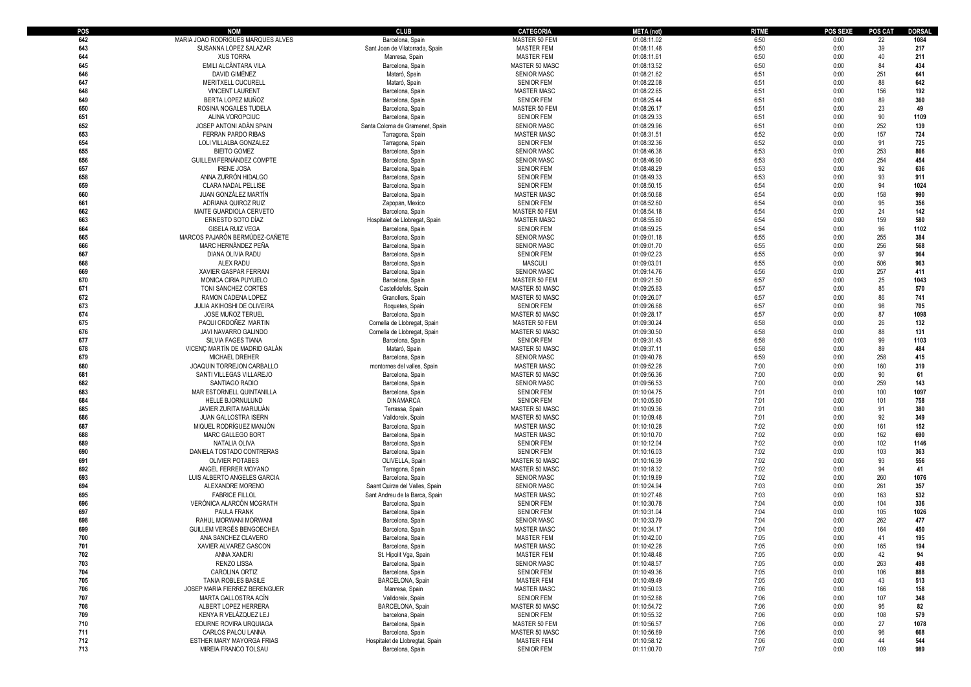| POS        | NOM                                          | <b>CLUB</b>                           | <b>CATEGORIA</b>                        | <b>META</b> (net)          | <b>RITME</b> | <b>POS SEXE</b> | <b>POS CAT</b> | <b>DORSAL</b> |
|------------|----------------------------------------------|---------------------------------------|-----------------------------------------|----------------------------|--------------|-----------------|----------------|---------------|
| 642        | MARIA JOAO RODRIGUES MARQUES ALVES           | Barcelona, Spain                      | MASTER 50 FEM                           | 01:08:11.02                | 6:50         | 0:00            | 22             | 1084          |
| 643        | SUSANNA LÓPEZ SALAZAR                        | Sant Joan de Vilatorrada, Spain       | <b>MASTER FEM</b>                       | 01:08:11.48                | 6:50         | 0:00            | 39             | 217           |
| 644        | <b>XUS TORRA</b>                             | Manresa, Spain                        | <b>MASTER FEM</b>                       | 01:08:11.61                | 6:50         | 0:00            | 40             | 211           |
| 645        | EMILI ALCÁNTARA VILA                         | Barcelona, Spain                      | MASTER 50 MASC                          | 01:08:13.52                | 6:50         | 0:00            | 84             | 434           |
| 646        | DAVID GIMÉNEZ                                | Mataró, Spain                         | <b>SENIOR MASC</b>                      | 01:08:21.62                | 6:51         | 0:00            | 251            | 641           |
| 647        | MERITXELL CUCURELL                           | Mataró, Spain                         | <b>SENIOR FEM</b>                       | 01:08:22.08                | 6:51         | 0:00            | 88             | 642           |
| 648        | <b>VINCENT LAURENT</b>                       | Barcelona, Spain                      | <b>MASTER MASC</b>                      | 01:08:22.65                | 6:51         | 0:00            | 156            | 192           |
| 649        | BERTA LOPEZ MUÑOZ                            | Barcelona, Spain                      | <b>SENIOR FEM</b>                       | 01:08:25.44                | 6:51         | 0:00            | 89             | 360           |
| 650        | ROSINA NOGALES TUDELA                        | Barcelona, Spain                      | MASTER 50 FEM                           | 01:08:26.17                | 6:51         | 0:00            | 23             | 49            |
| 651        | ALINA VOROPCIUC                              | Barcelona, Spain                      | <b>SENIOR FEM</b>                       | 01:08:29.33                | 6:51         | 0:00            | 90             | 1109          |
| 652        | JOSEP ANTONI ADAN SPAIN                      | Santa Coloma de Gramenet, Spain       | <b>SENIOR MASC</b>                      | 01:08:29.96                | 6:51         | 0:00            | 252            | 139           |
| 653        | <b>FERRAN PARDO RIBAS</b>                    | Tarragona, Spair                      | <b>MASTER MASC</b>                      | 01:08:31.51                | 6:52         | 0:00            | 157            | 724           |
| 654        | LOLI VILLALBA GONZALEZ                       | Tarragona, Spain                      | <b>SENIOR FEM</b>                       | 01:08:32.36                | 6:52         | 0:00            | 91             | 725           |
| 655        | <b>BIEITO GOMEZ</b>                          | Barcelona, Spain                      | <b>SENIOR MASC</b>                      | 01:08:46.38                | 6:53         | 0:00            | 253            | 866           |
| 656        | GUILLEM FERNANDEZ COMPTE                     | Barcelona, Spain                      | <b>SENIOR MASC</b>                      | 01:08:46.90                | 6:53         | 0:00            | 254            | 454           |
| 657        | <b>IRENE JOSA</b>                            | Barcelona, Spain                      | <b>SENIOR FEM</b>                       | 01:08:48.29                | 6:53         | 0:00            | 92             | 636           |
| 658        | ANNA ZURRÓN HIDALGO                          | Barcelona, Spain                      | <b>SENIOR FEM</b>                       | 01:08:49.33                | 6:53         | 0:00            | 93             | 911           |
| 659        | CLARA NADAL PELLISE                          | Barcelona, Spain                      | <b>SENIOR FEM</b>                       | 01:08:50.15                | 6:54         | 0:00            | 94             | 1024          |
| 660        | JUAN GONZÁLEZ MARTÍN                         | Barcelona, Spain                      | <b>MASTER MASC</b>                      | 01:08:50.68                | 6:54         | 0:00            | 158            | 990           |
| 661        | ADRIANA QUIROZ RUIZ                          | Zapopan, Mexico                       | <b>SENIOR FEM</b>                       | 01:08:52.60                | 6:54         | 0:00            | 95             | 356           |
| 662        | MAITE GUARDIOLA CERVETO                      | Barcelona, Spain                      | MASTER 50 FEM                           | 01:08:54.18                | 6:54         | 0:00            | 24             | 142           |
| 663        | ERNESTO SOTO DÍAZ                            | Hospitalet de Llobregat, Spain        | <b>MASTER MASC</b>                      | 01:08:55.80                | 6:54         | 0:00            | 159            | 580           |
| 664        | <b>GISELA RUIZ VEGA</b>                      | Barcelona, Spain                      | <b>SENIOR FEM</b>                       | 01:08:59.25                | 6:54         | 0:00            | 96             | 1102          |
| 665        | MARCOS PAJARÓN BERMÚDEZ-CAÑETE               | Barcelona, Spain                      | <b>SENIOR MASC</b>                      | 01:09:01.18                | 6:55         | 0:00            | 255            | 384           |
| 666        | MARC HERNÁNDEZ PEÑA                          | Barcelona, Spain                      | <b>SENIOR MASC</b>                      | 01:09:01.70                | 6:55         | 0:00            | 256            | 568           |
| 667        | DIANA OLIVIA RADU                            | Barcelona, Spain                      | <b>SENIOR FEM</b>                       | 01:09:02.23                | 6:55         | 0:00            | 97             | 964           |
| 668        | ALEX RADU                                    | Barcelona, Spain                      | <b>MASCULI</b>                          | 01:09:03.01                | 6:55         | 0:00            | 506            | 963           |
| 669        | XAVIER GASPAR FERRAN                         | Barcelona, Spain                      | <b>SENIOR MASC</b>                      | 01:09:14.76                | 6:56         | 0:00            | 257            | 411           |
| 670        | MONICA CIRIA PUYUELO                         | Barcelona, Spain                      | MASTER 50 FEM                           | 01:09:21.50                | 6:57         | 0:00            | 25             | 1043          |
| 671        | TONI SÁNCHEZ CORTÉS                          | Castelldefels, Spair                  | MASTER 50 MASC                          | 01:09:25.83                | 6:57         | 0:00            | 85             | 570           |
| 672        | RAMON CADENA LOPEZ                           | Granollers, Spain                     | MASTER 50 MASC                          | 01:09:26.07                | 6:57         | 0:00            | 86             | 741           |
| 673        | JULIA AKIHOSHI DE OLIVEIRA                   | Roquetes, Spain                       | <b>SENIOR FEM</b>                       | 01:09:26.68                | 6:57         | 0:00            | 98             | 705           |
| 674        | <b>JOSE MUNOZ TERUEL</b>                     | Barcelona, Spain                      | MASTER 50 MASC                          | 01:09:28.17                | 6:57         | 0:00            | 87             | 1098          |
| 675        | PAQUI ORDOÑEZ MARTIN                         | Cornella de Llobregat, Spain          | MASTER 50 FEM                           | 01:09:30.24                | 6:58         | 0:00            | 26             | 132           |
| 676        | JAVI NAVARRO GALINDO                         | Cornella de Llobregat, Spain          | MASTER 50 MASC                          | 01:09:30.50                | 6:58         | 0:00            | 88             | 131           |
| 677        | SILVIA FAGES TIANA                           | Barcelona, Spain                      | <b>SENIOR FEM</b>                       | 01:09:31.43                | 6:58         | 0:00            | 99             | 1103          |
| 678        | VICENC MARTIN DE MADRID GALAN                | Mataró, Spain                         | MASTER 50 MASC                          | 01:09:37.11                | 6:58         | 0:00            | 89             | 484           |
| 679        | <b>MICHAEL DREHER</b>                        | Barcelona, Spain                      | <b>SENIOR MASC</b>                      | 01:09:40.78                | 6:59         | 0:00            | 258            | 415           |
| 680        | JOAQUIN TORREJON CARBALLO                    | montornes del valles, Spain           | <b>MASTER MASC</b>                      | 01:09:52.28                | 7:00         | 0:00            | 160            | 319           |
| 681        | SANTI VILLEGAS VILLAREJO                     | Barcelona, Spair                      | MASTER 50 MASC                          | 01:09:56.36                | 7:00         | 0:00            | 90             | 61            |
| 682        | SANTIAGO RADIO                               | Barcelona, Spain                      | <b>SENIOR MASC</b>                      | 01:09:56.53                | 7:00         | 0:00            | 259            | 143           |
| 683        | MAR ESTORNELL QUINTANILLA                    | Barcelona, Spain                      | <b>SENIOR FEM</b>                       | 01:10:04.75                | 7:01         | 0:00            | 100            | 1097          |
| 684        | <b>HELLE BJORNULUND</b>                      | <b>DINAMARCA</b>                      | <b>SENIOR FEM</b>                       | 01:10:05.80                | 7:01         | 0:00            | 101            | 758           |
| 685        | JAVIER ZURITA MARIJUAN                       | Terrassa, Spain                       | MASTER 50 MASC                          | 01:10:09.36                | 7:01         | 0:00            | 91             | 380           |
| 686        | JUAN GALLOSTRA ISERN                         | Valldoreix, Spain                     | MASTER 50 MASC                          | 01:10:09.48                | 7:01         | 0:00            | 92             | 349           |
| 687        | MIQUEL RODRÍGUEZ MANJÓN                      | Barcelona, Spain                      | <b>MASTER MASC</b>                      | 01:10:10.28                | 7:02         | 0:00            | 161            | 152           |
| 688        | MARC GALLEGO BORT                            | Barcelona, Spain                      | <b>MASTER MASC</b>                      | 01:10:10.70                | 7:02         | 0:00            | 162            | 690           |
| 689        | NATALIA OLIVA                                | Barcelona, Spain                      | <b>SENIOR FEM</b>                       | 01:10:12.04                | 7:02         | 0:00            | 102            | 1146          |
| 690        | DANIELA TOSTADO CONTRERAS                    | Barcelona, Spain                      | <b>SENIOR FEM</b>                       | 01:10:16.03                | 7:02         | 0:00            | 103            | 363           |
| 691        | <b>OLIVIER POTABES</b>                       | OLIVELLA, Spain                       | MASTER 50 MASC                          | 01:10:16.39                | 7:02         | 0:00            | 93             | 556           |
| 692        | ANGEL FERRER MOYANO                          | Tarragona, Spair                      | MASTER 50 MASC                          | 01:10:18.32                | 7:02         | 0:00            | 94             | 41            |
| 693        | LUIS ALBERTO ANGELES GARCIA                  | Barcelona, Spain                      | <b>SENIOR MASC</b>                      | 01:10:19.89                | 7:02         | 0:00            | 260            | 1076          |
| 694        | ALEXANDRE MORENO                             | Saant Quirze del Valles, Spain        | <b>SENIOR MASC</b>                      | 01:10:24.94                | 7:03         | 0:00            | 261            | 357           |
| 695        | <b>FABRICE FILLOL</b>                        | Sant Andreu de la Barca, Spain        | <b>MASTER MASC</b>                      | 01:10:27.48                | 7:03         | 0:00            | 163            | 532           |
| 696        | VERÓNICA ALARCÓN MCGRATH                     | Barcelona, Spain                      | <b>SENIOR FEM</b>                       | 01:10:30.78                | 7:04         | 0:00            | 104            | 336           |
| 697        | PAULA FRANK                                  | Barcelona, Spain                      | <b>SENIOR FEM</b>                       | 01:10:31.04                | 7:04         | 0:00            | 105            | 1026          |
| 698        | RAHUL MORWANI MORWANI                        | Barcelona, Spain                      | <b>SENIOR MASC</b>                      | 01:10:33.79                | 7:04         | 0:00            | 262            | 477           |
| 699        | GUILLEM VERGÉS BENGOECHEA                    | Barcelona, Spain                      | <b>MASTER MASC</b>                      | 01:10:34.17                | 7:04         | 0:00            | 164            | 450           |
| 700        | ANA SANCHEZ CLAVERO                          | Barcelona, Spain                      | <b>MASTER FEM</b>                       | 01:10:42.00                | 7:05         | 0:00            | 41             | 195           |
| 701        | XAVIER ALVAREZ GASCON                        | Barcelona, Spain                      | <b>MASTER MASC</b>                      | 01:10:42.28                | 7:05         | 0:00            | 165            | 194           |
| 702        | ANNA XANDRI                                  | St. Hipolit Vga, Spain                | MASTER FEM                              | 01:10:48.48                | 7:05         | 0:00            | 42             | 94            |
| 703        | <b>RENZO LISSA</b>                           | Barcelona, Spain                      | <b>SENIOR MASC</b>                      | 01:10:48.57                | 7:05         | 0:00            | 263            | 498           |
| 704        | CAROLINA ORTIZ<br><b>TANIA ROBLES BASILE</b> | Barcelona, Spain                      | <b>SENIOR FEM</b>                       | 01:10:49.36                | 7:05         | 0:00            | 106            | 888           |
| 705        | JOSEP MARIA FIERREZ BERENGUER                | BARCELONA, Spain                      | <b>MASTER FEM</b>                       | 01:10:49.49                | 7:05         | 0:00            | 43             | 513           |
| 706<br>707 | MARTA GALLOSTRA ACÍN                         | Manresa, Spain                        | <b>MASTER MASC</b><br><b>SENIOR FEM</b> | 01:10:50.03<br>01:10:52.88 | 7:06<br>7:06 | 0:00            | 166<br>107     | 158<br>348    |
| 708        | ALBERT LOPEZ HERRERA                         | Valldoreix, Spain<br>BARCELONA, Spain | MASTER 50 MASC                          | 01:10:54.72                | 7:06         | 0:00<br>0:00    | 95             | 82            |
| 709        | KENYA R VELÁZQUEZ LEJ                        |                                       | <b>SENIOR FEM</b>                       | 01:10:55.32                | 7:06         |                 | 108            | 579           |
| 710        | EDURNE ROVIRA URQUIAGA                       | barcelona, Spain<br>Barcelona, Spain  | MASTER 50 FEM                           | 01:10:56.57                | 7:06         | 0:00<br>0:00    | 27             | 1078          |
| 711        | CARLOS PALOU LANNA                           | Barcelona, Spain                      | MASTER 50 MASC                          | 01:10:56.69                | 7:06         | 0:00            | 96             | 668           |
| 712        | ESTHER MARY MAYORGA FRIAS                    | Hospitalet de Llobregtat, Spain       | <b>MASTER FEM</b>                       | 01:10:58.12                | 7:06         | 0:00            | 44             | 544           |
| 713        | MIREIA FRANCO TOLSAU                         | Barcelona, Spain                      | <b>SENIOR FEM</b>                       | 01:11:00.70                | 7:07         | 0:00            | 109            | 989           |
|            |                                              |                                       |                                         |                            |              |                 |                |               |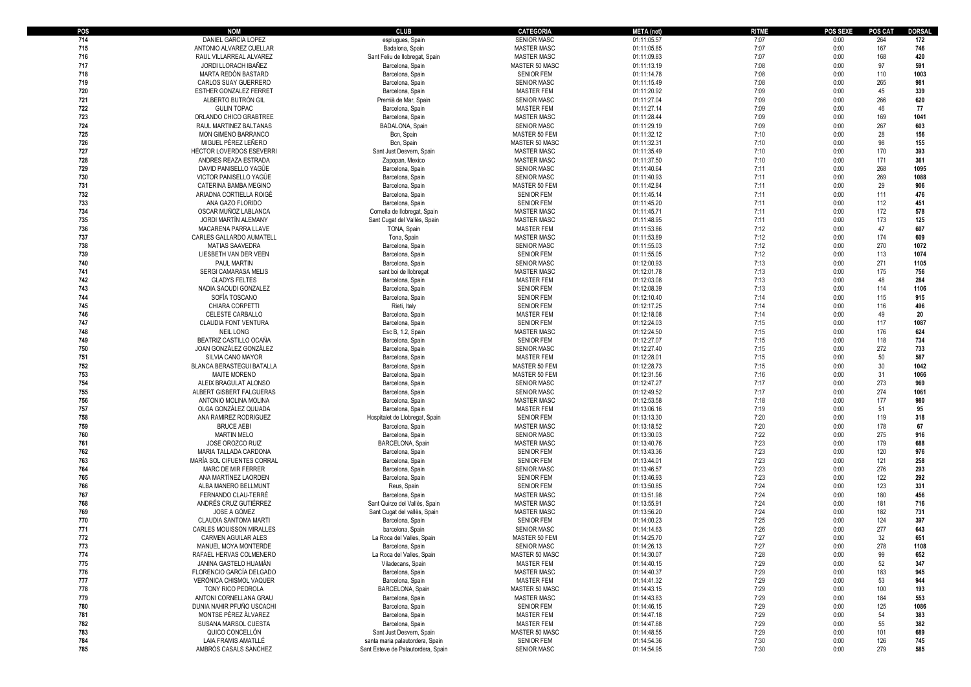| POS | NOM                             | <b>CLUB</b>                                   | <b>CATEGORIA</b>   | <b>META</b> (net) | <b>RITME</b> | POS SEXE | <b>POS CAT</b> | DORSAL |
|-----|---------------------------------|-----------------------------------------------|--------------------|-------------------|--------------|----------|----------------|--------|
| 714 | DANIEL GARCIA LOPEZ             | espluques, Spain                              | <b>SENIOR MASC</b> | 01:11:05.57       | 7:07         | 0:00     | 264            | 172    |
| 715 | ANTONIO ÁLVAREZ CUELLAR         | Badalona, Spain                               | <b>MASTER MASC</b> | 01:11:05.85       | 7:07         | 0:00     | 167            | 746    |
| 716 | RAUL VILLARREAL ALVAREZ         | Sant Feliu de Ilobregat, Spain                | <b>MASTER MASC</b> | 01:11:09.83       | 7:07         | 0:00     | 168            | 420    |
| 717 | JORDI LLORACH IBAÑEZ            | Barcelona, Spain                              | MASTER 50 MASC     | 01:11:13.19       | 7:08         | 0:00     | 97             | 591    |
| 718 | MARTA REDÓN BASTARD             | Barcelona, Spain                              | <b>SENIOR FEM</b>  | 01:11:14.78       | 7:08         | 0:00     | 110            | 1003   |
| 719 | CARLOS SUAY GUERRERO            | Barcelona, Spain                              | <b>SENIOR MASC</b> | 01:11:15.49       | 7:08         | 0:00     | 265            | 981    |
| 720 | ESTHER GONZALEZ FERRET          | Barcelona, Spain                              | <b>MASTER FEM</b>  | 01:11:20.92       | 7:09         | 0:00     | 45             | 339    |
| 721 | ALBERTO BUTRÓN GIL              | Premià de Mar. Spain                          | <b>SENIOR MASC</b> | 01:11:27.04       | 7:09         | 0:00     | 266            | 620    |
| 722 | <b>GULIN TOPAC</b>              | Barcelona, Spain                              | <b>MASTER FEM</b>  | 01:11:27.14       | 7:09         | 0:00     | 46             | 77     |
| 723 | ORLANDO CHICO GRABTREE          | Barcelona, Spain                              | <b>MASTER MASC</b> | 01:11:28.44       | 7:09         | 0:00     | 169            | 1041   |
| 724 | RAUL MARTINEZ BALTANAS          | BADALONA, Spain                               | <b>SENIOR MASC</b> | 01:11:29.19       | 7:09         | 0:00     | 267            | 603    |
| 725 | MON GIMENO BARRANCO             | Bcn, Spain                                    | MASTER 50 FEM      | 01:11:32.12       | 7:10         | 0:00     | 28             | 156    |
| 726 | MIGUEL PÉREZ LEÑERO             | Bcn, Spain                                    | MASTER 50 MASC     | 01:11:32.31       | 7:10         | 0:00     | 98             | 155    |
| 727 | HÉCTOR LOVERDOS ESEVERRI        | Sant Just Desvern, Spain                      | <b>MASTER MASC</b> | 01:11:35.49       | 7:10         | 0:00     | 170            | 393    |
| 728 | ANDRES REAZA ESTRADA            | Zapopan, Mexico                               | <b>MASTER MASC</b> | 01:11:37.50       | 7:10         | 0:00     | 171            | 361    |
| 729 | DAVID PANISELLO YAGUE           | Barcelona, Spain                              | <b>SENIOR MASC</b> | 01:11:40.64       | 7:11         | 0:00     | 268            | 1095   |
| 730 | VICTOR PANISELLO YAGUE          | Barcelona, Spain                              | <b>SENIOR MASC</b> | 01:11:40.93       | 7:11         | 0:00     | 269            | 1088   |
| 731 | CATERINA BAMBA MEGINO           | Barcelona, Spain                              | MASTER 50 FEM      | 01:11:42.84       | 7:11         | 0:00     | 29             | 906    |
| 732 | ARIADNA CORTIELLA ROIGÉ         | Barcelona, Spain                              | <b>SENIOR FEM</b>  | 01:11:45.14       | 7:11         | 0:00     | 111            | 476    |
| 733 | ANA GAZO FLORIDO                | Barcelona, Spain                              | <b>SENIOR FEM</b>  | 01:11:45.20       | 7:11         | 0:00     | 112            | 451    |
| 734 | OSCAR MUÑOZ LABLANCA            | Cornella de llobregat, Spain                  | <b>MASTER MASC</b> | 01:11:45.71       | 7:11         | 0:00     | 172            | 578    |
| 735 | JORDI MARTÍN ALEMANY            | Sant Cugat del Vallés, Spain                  | <b>MASTER MASC</b> | 01:11:48.95       | 7:11         | 0:00     | 173            | 125    |
| 736 | MACARENA PARRA LLAVE            | TONA, Spain                                   | <b>MASTER FEM</b>  | 01:11:53.86       | 7:12         | 0:00     | 47             | 607    |
| 737 | CARLES GALLARDO AUMATELL        | Tona, Spain                                   | <b>MASTER MASC</b> | 01:11:53.89       | 7:12         | 0:00     | 174            | 609    |
| 738 | <b>MATIAS SAAVEDRA</b>          | Barcelona, Spain                              | <b>SENIOR MASC</b> | 01:11:55.03       | 7:12         | 0:00     | 270            | 1072   |
| 739 | LIESBETH VAN DER VEEN           | Barcelona, Spain                              | <b>SENIOR FEM</b>  | 01:11:55.05       | 7:12         | 0:00     | 113            | 1074   |
| 740 | PAUL MARTIN                     | Barcelona, Spain                              | <b>SENIOR MASC</b> | 01:12:00.93       | 7:13         | 0:00     | 271            | 1105   |
| 741 | <b>SERGI CAMARASA MELIS</b>     | sant boi de llobrega                          | <b>MASTER MASC</b> | 01:12:01.78       | 7:13         | 0:00     | 175            | 756    |
| 742 | <b>GLADYS FELTES</b>            | Barcelona, Spain                              | <b>MASTER FEM</b>  | 01:12:03.08       | 7:13         | 0:00     | 48             | 284    |
| 743 | NADIA SAOUDI GONZALEZ           | Barcelona, Spain                              | <b>SENIOR FEM</b>  | 01:12:08.39       | 7:13         | 0:00     | 114            | 1106   |
| 744 | SOFÍA TOSCANO                   | Barcelona, Spain                              | <b>SENIOR FEM</b>  | 01:12:10.40       | 7:14         | 0:00     | 115            | 915    |
| 745 | CHIARA CORPETTI                 | Rieti, Italy                                  | <b>SENIOR FEM</b>  | 01:12:17.25       | 7:14         | 0:00     | 116            | 496    |
| 746 | CELESTE CARBALLO                | Barcelona, Spain                              | <b>MASTER FEM</b>  | 01:12:18.08       | 7:14         | 0:00     | 49             | 20     |
| 747 | CLAUDIA FONT VENTURA            | Barcelona, Spain                              | <b>SENIOR FEM</b>  | 01:12:24.03       | 7:15         | 0:00     | 117            | 1087   |
| 748 | <b>NEIL LONG</b>                | Esc B, 1.2, Spair                             | <b>MASTER MASC</b> | 01:12:24.50       | 7:15         | 0:00     | 176            | 624    |
| 749 | BEATRIZ CASTILLO OCAÑA          | Barcelona, Spain                              | <b>SENIOR FEM</b>  | 01:12:27.07       | 7:15         | 0:00     | 118            | 734    |
| 750 | JOAN GONZÁLEZ GONZÁLEZ          | Barcelona, Spain                              | <b>SENIOR MASC</b> | 01:12:27.40       | 7:15         | 0:00     | 272            | 733    |
| 751 | SILVIA CANO MAYOR               | Barcelona, Spain                              | MASTER FEM         | 01:12:28.01       | 7:15         | 0:00     | 50             | 587    |
| 752 | BLANCA BERASTEGUI BATALLA       | Barcelona, Spain                              | MASTER 50 FEM      | 01:12:28.73       | 7:15         | 0:00     | 30             | 1042   |
| 753 | <b>MAITE MORENO</b>             | Barcelona, Spain                              | MASTER 50 FEM      | 01:12:31.56       | 7:16         | 0:00     | 31             | 1066   |
| 754 | ALEIX BRAGULAT ALONSO           | Barcelona, Spain                              | <b>SENIOR MASC</b> | 01:12:47.27       | 7:17         | 0:00     | 273            | 969    |
| 755 | ALBERT GISBERT FALGUERAS        | Barcelona, Spain                              | <b>SENIOR MASC</b> | 01:12:49.52       | 7:17         | 0:00     | 274            | 1061   |
| 756 | ANTONIO MOLINA MOLINA           | Barcelona, Spain                              | <b>MASTER MASC</b> | 01:12:53.58       | 7:18         | 0:00     | 177            | 980    |
| 757 | OLGA GONZÁLEZ QUIJADA           | Barcelona, Spain                              | <b>MASTER FEM</b>  | 01:13:06.16       | 7:19         | 0:00     | 51             | 95     |
| 758 | ANA RAMIREZ RODRIGUEZ           | Hospitalet de Llobregat, Spain                | <b>SENIOR FEM</b>  | 01:13:13.30       | 7:20         | 0:00     | 119            | 318    |
| 759 | <b>BRUCE AEBI</b>               | Barcelona, Spain                              | <b>MASTER MASC</b> | 01:13:18.52       | 7:20         | 0:00     | 178            | 67     |
| 760 | <b>MARTIN MELO</b>              | Barcelona, Spain                              | <b>SENIOR MASC</b> | 01:13:30.03       | 7:22         | 0:00     | 275            | 916    |
| 761 | JOSE OROZCO RUIZ                | BARCELONA, Spain                              | <b>MASTER MASC</b> | 01:13:40.76       | 7:23         | 0:00     | 179            | 688    |
| 762 | MARIA TALLADA CARDONA           | Barcelona, Spain                              | <b>SENIOR FEM</b>  | 01:13:43.36       | 7:23         | 0:00     | 120            | 976    |
| 763 | MARÍA SOL CIFUENTES CORRAL      | Barcelona, Spain                              | <b>SENIOR FEM</b>  | 01:13:44.01       | 7:23         | 0:00     | 121            | 258    |
| 764 | MARC DE MIR FERRER              | Barcelona, Spain                              | <b>SENIOR MASC</b> | 01:13:46.57       | 7:23         | 0:00     | 276            | 293    |
| 765 | ANA MARTINEZ LAORDEN            | Barcelona, Spain                              | <b>SENIOR FEM</b>  | 01:13:46.93       | 7:23         | 0:00     | 122            | 292    |
| 766 | ALBA MANERO BELLMUNT            | Reus, Spain                                   | <b>SENIOR FEM</b>  | 01:13:50.85       | 7:24         | 0:00     | 123            | 331    |
| 767 | FERNANDO CLAU-TERRÉ             | Barcelona, Spain                              | <b>MASTER MASC</b> | 01:13:51.98       | 7:24         | 0:00     | 180            | 456    |
| 768 | ANDRÉS CRUZ GUTIÉRREZ           | Sant Quirze del Vallès, Spain                 | <b>MASTER MASC</b> | 01:13:55.91       | 7:24         | 0:00     | 181            | 716    |
| 769 | <b>JOSE A GOMEZ</b>             | Sant Cugat del vallès, Spain                  | <b>MASTER MASC</b> | 01:13:56.20       | 7:24         | 0:00     | 182            | 731    |
| 770 | CLAUDIA SANTOMA MARTI           | Barcelona, Spair                              | <b>SENIOR FEM</b>  | 01:14:00.23       | 7:25         | 0:00     | 124            | 397    |
| 771 | <b>CARLES MOUISSON MIRALLES</b> | barcelona, Spain                              | <b>SENIOR MASC</b> | 01:14:14.63       | 7:26         | 0:00     | 277            | 643    |
| 772 | CARMEN AGUILAR ALES             | La Roca del Valles, Spain                     | MASTER 50 FEM      | 01:14:25.70       | 7:27         | 0:00     | 32             | 651    |
| 773 | MANUEL MOYA MONTERDE            |                                               | <b>SENIOR MASC</b> | 01:14:26.13       | 7:27         | 0:00     | 278            | 1108   |
| 774 | RAFAEL HERVAS COLMENERO         | Barcelona, Spain<br>La Roca del Valles, Spain | MASTER 50 MASC     | 01:14:30.07       | 7:28         | 0:00     | 99             | 652    |
| 775 | JANINA GASTELO HUAMÁN           | Viladecans, Spain                             | <b>MASTER FEM</b>  | 01:14:40.15       | 7:29         | 0:00     | 52             | 347    |
| 776 | FLORENCIO GARCÍA DELGADO        | Barcelona, Spain                              | <b>MASTER MASC</b> | 01:14:40.37       | 7:29         | 0:00     | 183            | 945    |
| 777 | VERÓNICA CHISMOL VAQUER         | Barcelona, Spain                              | <b>MASTER FEM</b>  | 01:14:41.32       | 7:29         | 0:00     | 53             | 944    |
| 778 | TONY RICO PEDROLA               | BARCELONA, Spain                              | MASTER 50 MASC     | 01:14:43.15       | 7:29         | 0:00     | 100            | 193    |
| 779 | ANTONI CORNELLANA GRAU          | Barcelona, Spain                              | <b>MASTER MASC</b> | 01:14:43.83       | 7:29         | 0:00     | 184            | 553    |
| 780 | DUNIA NAHIR PFUÑO USCACHI       | Barcelona, Spain                              | <b>SENIOR FEM</b>  | 01:14:46.15       | 7:29         | 0:00     | 125            | 1086   |
| 781 | MONTSE PÉREZ ÁLVAREZ            | Barcelona, Spain                              | <b>MASTER FEM</b>  | 01:14:47.18       | 7:29         | 0:00     | 54             | 383    |
| 782 | SUSANA MARSOL CUESTA            | Barcelona, Spain                              | <b>MASTER FEM</b>  | 01:14:47.88       | 7:29         | 0:00     | 55             | 382    |
| 783 | QUICO CONCELLÓN                 | Sant Just Desvern, Spain                      | MASTER 50 MASC     | 01:14:48.55       | 7:29         | 0:00     | 101            | 689    |
| 784 | LAIA FRAMIS AMATLLÉ             | santa maria palautordera, Spain               | <b>SENIOR FEM</b>  | 01:14:54.36       | 7:30         | 0:00     | 126            | 745    |
| 785 | AMBRÒS CASALS SÁNCHEZ           | Sant Esteve de Palautordera, Spain            | <b>SENIOR MASC</b> | 01:14:54.95       | 7:30         | 0:00     | 279            | 585    |
|     |                                 |                                               |                    |                   |              |          |                |        |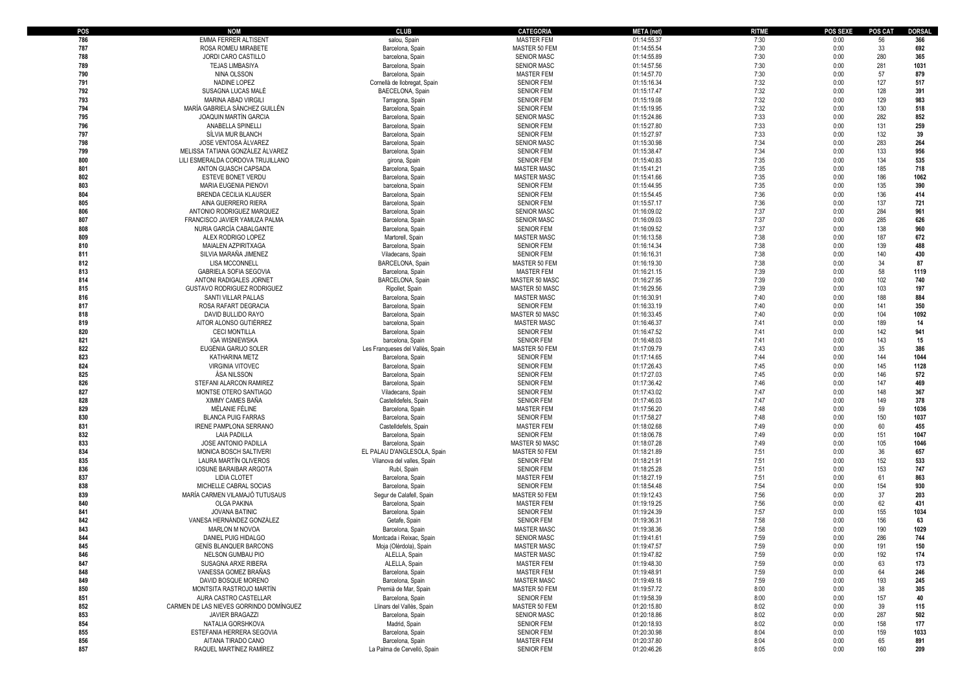| POS | <b>NOM</b>                                             | <b>CLUB</b>                      | <b>CATEGORIA</b>                   | <b>META</b> (net) | <b>RITME</b> | POS SEXE     | <b>POS CAT</b> | DORSAL |
|-----|--------------------------------------------------------|----------------------------------|------------------------------------|-------------------|--------------|--------------|----------------|--------|
| 786 | <b>EMMA FERRER ALTISENT</b>                            | salou, Spain                     | <b>MASTER FEM</b>                  | 01:14:55.37       | 7:30         | 0:00         | 56             | 366    |
| 787 | ROSA ROMEU MIRABETE                                    | Barcelona, Spair                 | MASTER 50 FEM                      | 01:14:55.54       | 7:30         | 0:00         | 33             | 692    |
| 788 | <b>JORDI CARO CASTILLO</b>                             | barcelona, Spain                 | <b>SENIOR MASC</b>                 | 01:14:55.89       | 7:30         | 0:00         | 280            | 365    |
| 789 | <b>TEJAS LIMBASIYA</b>                                 | Barcelona, Spain                 | <b>SENIOR MASC</b>                 | 01:14:57.56       | 7:30         | 0:00         | 281            | 1031   |
| 790 | NINA OLSSON                                            | Barcelona, Spain                 | <b>MASTER FEM</b>                  | 01:14:57.70       | 7:30         | 0:00         | 57             | 879    |
| 791 | NADINE LOPEZ                                           | Cornellà de llobregat, Spain     | <b>SENIOR FEM</b>                  | 01:15:16.34       | 7:32         | 0:00         | 127            | 517    |
| 792 | SUSAGNA LUCAS MALÉ                                     | BAECELONA, Spain                 | <b>SENIOR FEM</b>                  | 01:15:17.47       | 7:32         | 0:00         | 128            | 391    |
| 793 | MARINA ABAD VIRGILI                                    | Tarragona, Spain                 | <b>SENIOR FEM</b>                  | 01:15:19.08       | 7:32         | 0:00         | 129            | 983    |
| 794 | MARÍA GABRIELA SÁNCHEZ GUILLÉN                         | Barcelona, Spain                 | <b>SENIOR FEM</b>                  | 01:15:19.95       | 7:32         | 0:00         | 130            | 518    |
| 795 | JOAQUIN MARTÍN GARCIA                                  | Barcelona, Spain                 | <b>SENIOR MASC</b>                 | 01:15:24.86       | 7:33         | 0:00         | 282            | 852    |
| 796 | ANABELLA SPINELLI                                      | Barcelona, Spain                 | <b>SENIOR FEM</b>                  | 01:15:27.80       | 7:33         | 0:00         | 131            | 259    |
| 797 | SÍLVIA MUR BLANCH                                      | Barcelona, Spain                 | <b>SENIOR FEM</b>                  | 01:15:27.97       | 7:33         | 0:00         | 132            | 39     |
| 798 | JOSE VENTOSA ÁLVAREZ                                   | Barcelona, Spain                 | <b>SENIOR MASC</b>                 | 01:15:30.98       | 7:34         | 0:00         | 283            | 264    |
| 799 | MELISSA TATIANA GONZÁLEZ ÁLVAREZ                       | Barcelona, Spain                 | <b>SENIOR FEM</b>                  | 01:15:38.47       | 7:34         | 0:00         | 133            | 956    |
| 800 | LILI ESMERALDA CORDOVA TRUJILLANO                      | girona, Spain                    | <b>SENIOR FEM</b>                  | 01:15:40.83       | 7:35         | 0:00         | 134            | 535    |
| 801 | ANTON GUASCH CAPSADA                                   | Barcelona, Spain                 | <b>MASTER MASC</b>                 | 01:15:41.21       | 7:35         | 0:00         | 185            | 718    |
| 802 | ESTEVE BONET VERDU                                     | Barcelona, Spain                 | <b>MASTER MASC</b>                 | 01:15:41.66       | 7:35         | 0:00         | 186            | 1062   |
| 803 | <b>MARIA EUGENIA PIENOVI</b>                           | barcelona, Spain                 | <b>SENIOR FEM</b>                  | 01:15:44.95       | 7:35         | 0:00         | 135            | 390    |
| 804 | <b>BRENDA CECILIA KLAUSER</b>                          | Barcelona, Spair                 | <b>SENIOR FEM</b>                  | 01:15:54.45       | 7:36         | 0:00         | 136            | 414    |
| 805 | AINA GUERRERO RIERA                                    | Barcelona, Spain                 | <b>SENIOR FEM</b>                  | 01:15:57.17       | 7:36         | 0:00         | 137            | 721    |
| 806 | ANTONIO RODRIGUEZ MARQUEZ                              | Barcelona, Spain                 | <b>SENIOR MASC</b>                 | 01:16:09.02       | 7:37         | 0:00         | 284            | 961    |
| 807 | FRANCISCO JAVIER YAMUZA PALMA                          | Barcelona, Spain                 | <b>SENIOR MASC</b>                 | 01:16:09.03       | 7:37         | 0:00         | 285            | 626    |
| 808 | NURIA GARCÍA CABALGANTE                                | Barcelona, Spair                 | <b>SENIOR FEM</b>                  | 01:16:09.52       | 7:37         | 0:00         | 138            | 960    |
| 809 | ALEX RODRIGO LOPEZ                                     | Martorell, Spain                 | <b>MASTER MASC</b>                 | 01:16:13.58       | 7:38         | 0:00         | 187            | 672    |
| 810 | MAIALEN AZPIRITXAGA                                    | Barcelona, Spain                 | <b>SENIOR FEM</b>                  | 01:16:14.34       | 7:38         | 0:00         | 139            | 488    |
| 811 | SILVIA MARAÑA JIMENEZ                                  | Viladecans, Spain                | <b>SENIOR FEM</b>                  | 01:16:16.31       | 7:38         | 0:00         | 140            | 430    |
| 812 |                                                        | BARCELONA, Spair                 |                                    |                   | 7:38         |              | 34             | 87     |
| 813 | <b>LISA MCCONNELL</b><br><b>GABRIELA SOFIA SEGOVIA</b> |                                  | MASTER 50 FEM<br><b>MASTER FEM</b> | 01:16:19.30       | 7:39         | 0:00<br>0:00 | 58             | 1119   |
|     |                                                        | Barcelona, Spain                 |                                    | 01:16:21.15       |              |              |                |        |
| 814 | ANTONI RADIGALES JORNET                                | BARCELONA, Spair                 | MASTER 50 MASC                     | 01:16:27.95       | 7:39         | 0:00         | 102            | 740    |
| 815 | GUSTAVO RODRIGUEZ RODRIGUEZ                            | Ripollet, Spain                  | MASTER 50 MASC                     | 01:16:29.56       | 7:39         | 0:00         | 103            | 197    |
| 816 | SANTI VILLAR PALLAS                                    | Barcelona, Spair                 | <b>MASTER MASC</b>                 | 01:16:30.91       | 7:40         | 0:00         | 188            | 884    |
| 817 | ROSA RAFART DEGRACIA                                   | Barcelona, Spain                 | <b>SENIOR FEM</b>                  | 01:16:33.19       | 7:40         | 0:00         | 141            | 350    |
| 818 | DAVID BULLIDO RAYO                                     | Barcelona, Spain                 | MASTER 50 MASC                     | 01:16:33.45       | 7:40         | 0:00         | 104            | 1092   |
| 819 | AITOR ALONSO GUTIÉRREZ                                 | barcelona, Spain                 | <b>MASTER MASC</b>                 | 01:16:46.37       | 7:41         | 0:00         | 189            | 14     |
| 820 | <b>CECI MONTILLA</b>                                   | Barcelona, Spain                 | <b>SENIOR FEM</b>                  | 01:16:47.52       | 7:41         | 0:00         | 142            | 941    |
| 821 | <b>IGA WISNIEWSKA</b>                                  | barcelona, Spain                 | <b>SENIOR FEM</b>                  | 01:16:48.03       | 7:41         | 0:00         | 143            | 15     |
| 822 | EUGÈNIA GARIJO SOLER                                   | Les Franqueses del Vallès, Spain | MASTER 50 FEM                      | 01:17:09.79       | 7:43         | 0:00         | 35             | 386    |
| 823 | KATHARINA METZ                                         | Barcelona, Spain                 | <b>SENIOR FEM</b>                  | 01:17:14.65       | 7:44         | 0:00         | 144            | 1044   |
| 824 | <b>VIRGINIA VITOVEC</b>                                | Barcelona, Spain                 | <b>SENIOR FEM</b>                  | 01:17:26.43       | 7:45         | 0:00         | 145            | 1128   |
| 825 | ÁSA NILSSON                                            | Barcelona, Spain                 | <b>SENIOR FEM</b>                  | 01:17:27.03       | 7:45         | 0:00         | 146            | 572    |
| 826 | STEFANI ALARCON RAMIREZ                                | Barcelona, Spain                 | <b>SENIOR FEM</b>                  | 01:17:36.42       | 7:46         | 0:00         | 147            | 469    |
| 827 | MONTSE OTERO SANTIAGO                                  | Viladecans, Spain                | <b>SENIOR FEM</b>                  | 01:17:43.02       | 7:47         | 0:00         | 148            | 367    |
| 828 | XIMMY CAMES BAÑA                                       | Castelldefels, Spair             | <b>SENIOR FEM</b>                  | 01:17:46.03       | 7:47         | 0:00         | 149            | 378    |
| 829 | MÉLANIE FÉLINE                                         | Barcelona, Spain                 | <b>MASTER FEM</b>                  | 01:17:56.20       | 7:48         | 0:00         | 59             | 1036   |
| 830 | <b>BLANCA PUIG FARRAS</b>                              | Barcelona, Spain                 | <b>SENIOR FEM</b>                  | 01:17:58.27       | 7:48         | 0:00         | 150            | 1037   |
| 831 | <b>IRENE PAMPLONA SERRANO</b>                          | Castelldefels, Spain             | <b>MASTER FEM</b>                  | 01:18:02.68       | 7:49         | 0:00         | 60             | 455    |
| 832 | LAIA PADILLA                                           | Barcelona, Spain                 | <b>SENIOR FEM</b>                  | 01:18:06.78       | 7:49         | 0:00         | 151            | 1047   |
| 833 | JOSE ANTONIO PADILLA                                   | Barcelona, Spain                 | MASTER 50 MASC                     | 01:18:07.28       | 7:49         | 0:00         | 105            | 1046   |
| 834 | MONICA BOSCH SALTIVERI                                 | EL PALAU D'ANGLESOLA, Spain      | MASTER 50 FEM                      | 01:18:21.89       | 7:51         | 0:00         | 36             | 657    |
| 835 | LAURA MARTIN OLIVEROS                                  | Vilanova del valles, Spain       | <b>SENIOR FEM</b>                  | 01:18:21.91       | 7:51         | 0:00         | 152            | 533    |
| 836 | <b>IOSUNE BARAIBAR ARGOTA</b>                          | Rubí, Spain                      | <b>SENIOR FEM</b>                  | 01:18:25.28       | 7:51         | 0:00         | 153            | 747    |
| 837 | <b>LIDIA CLOTET</b>                                    | Barcelona, Spain                 | <b>MASTER FEM</b>                  | 01:18:27.19       | 7:51         | 0:00         | 61             | 863    |
| 838 | MICHELLE CABRAL SOCIAS                                 | Barcelona, Spain                 | <b>SENIOR FEM</b>                  | 01:18:54.48       | 7:54         | 0:00         | 154            | 930    |
| 839 | MARÍA CARMEN VILAMAJÓ TUTUSAUS                         | Segur de Calafell, Spain         | MASTER 50 FEM                      | 01:19:12.43       | 7:56         | 0:00         | 37             | 203    |
| 840 | <b>OLGA PAKINA</b>                                     | Barcelona, Spain                 | <b>MASTER FEM</b>                  | 01:19:19.25       | 7:56         | 0:00         | 62             | 431    |
| 841 | <b>JOVANA BATINIC</b>                                  | Barcelona, Spair                 | <b>SENIOR FEM</b>                  | 01:19:24.39       | 7:57         | 0:00         | 155            | 1034   |
| 842 | VANESA HERNÁNDEZ GONZÁLEZ                              | Getafe, Spain                    | <b>SENIOR FEM</b>                  | 01:19:36.31       | 7:58         | 0:00         | 156            | 63     |
| 843 | <b>MARLON M NOVOA</b>                                  | Barcelona, Spair                 | <b>MASTER MASC</b>                 | 01:19:38.36       | 7:58         | 0:00         | 190            | 1029   |
| 844 | DANIEL PUIG HIDALGO                                    | Montcada i Reixac, Spain         | <b>SENIOR MASC</b>                 | 01:19:41.61       | 7:59         | 0:00         | 286            | 744    |
| 845 | <b>GENÍS BLANQUER BARCONS</b>                          | Moja (Olèrdola), Spain           | <b>MASTER MASC</b>                 | 01:19:47.57       | 7:59         | 0:00         | 191            | 150    |
| 846 | NELSON GUMBAU PIO                                      | ALELLA, Spain                    | <b>MASTER MASC</b>                 | 01:19:47.82       | 7:59         | 0:00         | 192            | 174    |
| 847 | SUSAGNA ARXE RIBERA                                    | ALELLA, Spain                    | <b>MASTER FEM</b>                  | 01:19:48.30       | 7:59         | 0:00         | 63             | 173    |
| 848 | VANESSA GOMEZ BRAÑAS                                   | Barcelona, Spain                 | <b>MASTER FEM</b>                  | 01:19:48.91       | 7:59         | 0:00         | 64             | 246    |
| 849 | DAVID BOSQUE MORENO                                    | Barcelona, Spain                 | <b>MASTER MASC</b>                 | 01:19:49.18       | 7:59         | 0:00         | 193            | 245    |
| 850 | MONTSITA RASTROJO MARTÍN                               | Premià de Mar, Spain             | MASTER 50 FEM                      | 01:19:57.72       | 8:00         | 0:00         | 38             | 305    |
| 851 | AURA CASTRO CASTELLAR                                  | Barcelona, Spain                 | <b>SENIOR FEM</b>                  | 01:19:58.39       | 8:00         | 0:00         | 157            | 40     |
| 852 | CARMEN DE LAS NIEVES GORRINDO DOMÍNGUEZ                | Llinars del Vallès, Spain        | MASTER 50 FEM                      | 01:20:15.80       | 8:02         | 0:00         | 39             | 115    |
| 853 | <b>JAVIER BRAGAZZI</b>                                 | Barcelona, Spain                 | <b>SENIOR MASC</b>                 | 01:20:18.86       | 8:02         | 0:00         | 287            | 502    |
| 854 | NATALIA GORSHKOVA                                      | Madrid, Spain                    | <b>SENIOR FEM</b>                  | 01:20:18.93       | 8:02         | 0:00         | 158            | 177    |
| 855 | ESTEFANIA HERRERA SEGOVIA                              | Barcelona, Spain                 | <b>SENIOR FEM</b>                  | 01:20:30.98       | 8:04         | 0:00         | 159            | 1033   |
| 856 | AITANA TIRADO CANO                                     | Barcelona, Spain                 | <b>MASTER FEM</b>                  | 01:20:37.80       | 8:04         | 0:00         | 65             | 891    |
| 857 | RAQUEL MARTÍNEZ RAMÍREZ                                | La Palma de Cervelló, Spain      | <b>SENIOR FEM</b>                  | 01:20:46.26       | 8:05         | 0:00         | 160            | 209    |
|     |                                                        |                                  |                                    |                   |              |              |                |        |